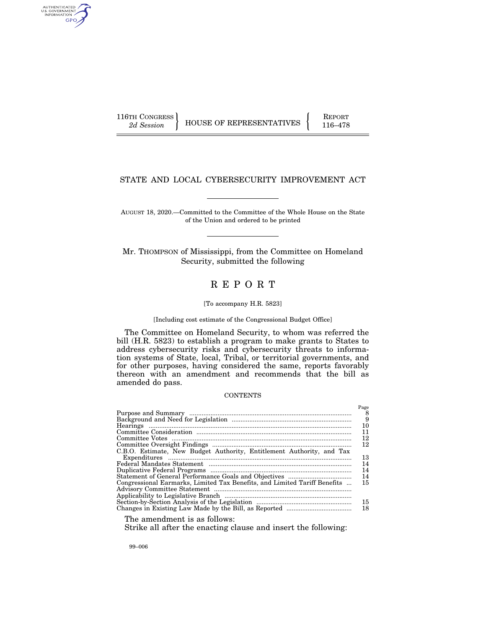AUTHENTICATED<br>U.S. GOVERNMENT<br>INFORMATION GPO

116TH CONGRESS HOUSE OF REPRESENTATIVES FEPORT 116–478

## STATE AND LOCAL CYBERSECURITY IMPROVEMENT ACT

AUGUST 18, 2020.—Committed to the Committee of the Whole House on the State of the Union and ordered to be printed

Mr. THOMPSON of Mississippi, from the Committee on Homeland Security, submitted the following

# R E P O R T

#### [To accompany H.R. 5823]

#### [Including cost estimate of the Congressional Budget Office]

The Committee on Homeland Security, to whom was referred the bill (H.R. 5823) to establish a program to make grants to States to address cybersecurity risks and cybersecurity threats to information systems of State, local, Tribal, or territorial governments, and for other purposes, having considered the same, reports favorably thereon with an amendment and recommends that the bill as amended do pass.

### **CONTENTS**

|                                                                           | Page |
|---------------------------------------------------------------------------|------|
|                                                                           | 8    |
|                                                                           | 9    |
|                                                                           | 10   |
|                                                                           | 11   |
|                                                                           | 12   |
|                                                                           | 12   |
| C.B.O. Estimate, New Budget Authority, Entitlement Authority, and Tax     |      |
|                                                                           | 13   |
|                                                                           | 14   |
|                                                                           | 14   |
|                                                                           | 14   |
| Congressional Earmarks, Limited Tax Benefits, and Limited Tariff Benefits | 15   |
|                                                                           |      |
|                                                                           |      |
|                                                                           | 15   |
|                                                                           | 18   |
|                                                                           |      |

The amendment is as follows:

Strike all after the enacting clause and insert the following:

99–006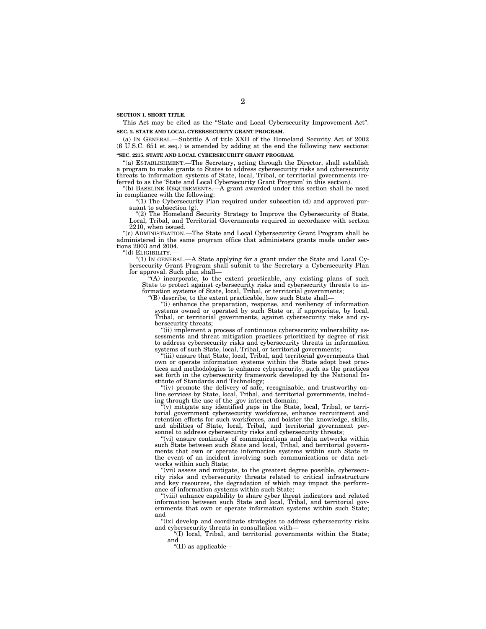**SECTION 1. SHORT TITLE.** 

This Act may be cited as the ''State and Local Cybersecurity Improvement Act''. **SEC. 2. STATE AND LOCAL CYBERSECURITY GRANT PROGRAM.** 

(a) IN GENERAL.—Subtitle A of title XXII of the Homeland Security Act of 2002 (6 U.S.C. 651 et seq.) is amended by adding at the end the following new sections: **''SEC. 2215. STATE AND LOCAL CYBERSECURITY GRANT PROGRAM.** 

''(a) ESTABLISHMENT.—The Secretary, acting through the Director, shall establish a program to make grants to States to address cybersecurity risks and cybersecurity threats to information systems of State, local, Tribal, or territorial governments (referred to as the 'State and Local Cybersecurity Grant Program' in this section).

''(b) BASELINE REQUIREMENTS.—A grant awarded under this section shall be used in compliance with the following:

 $f(1)$  The Cybersecurity Plan required under subsection (d) and approved pursuant to subsection (g).

''(2) The Homeland Security Strategy to Improve the Cybersecurity of State, Local, Tribal, and Territorial Governments required in accordance with section 2210, when issued.

"(c) ADMINISTRATION.—The State and Local Cybersecurity Grant Program shall be administered in the same program office that administers grants made under sections 2003 and 2004.

''(d) ELIGIBILITY.—

''(1) IN GENERAL.—A State applying for a grant under the State and Local Cybersecurity Grant Program shall submit to the Secretary a Cybersecurity Plan for approval. Such plan shall—

'(A) incorporate, to the extent practicable, any existing plans of such State to protect against cybersecurity risks and cybersecurity threats to information systems of State, local, Tribal, or territorial governments;

''(B) describe, to the extent practicable, how such State shall—

''(i) enhance the preparation, response, and resiliency of information systems owned or operated by such State or, if appropriate, by local, Tribal, or territorial governments, against cybersecurity risks and cybersecurity threats;

''(ii) implement a process of continuous cybersecurity vulnerability assessments and threat mitigation practices prioritized by degree of risk to address cybersecurity risks and cybersecurity threats in information systems of such State, local, Tribal, or territorial governments;

"(iii) ensure that State, local, Tribal, and territorial governments that own or operate information systems within the State adopt best practices and methodologies to enhance cybersecurity, such as the practices set forth in the cybersecurity framework developed by the National Institute of Standards and Technology;

"(iv) promote the delivery of safe, recognizable, and trustworthy online services by State, local, Tribal, and territorial governments, including through the use of the .gov internet domain;

''(v) mitigate any identified gaps in the State, local, Tribal, or territorial government cybersecurity workforces, enhance recruitment and retention efforts for such workforces, and bolster the knowledge, skills, and abilities of State, local, Tribal, and territorial government personnel to address cybersecurity risks and cybersecurity threats;

''(vi) ensure continuity of communications and data networks within such State between such State and local, Tribal, and territorial governments that own or operate information systems within such State in the event of an incident involving such communications or data networks within such State;

''(vii) assess and mitigate, to the greatest degree possible, cybersecurity risks and cybersecurity threats related to critical infrastructure and key resources, the degradation of which may impact the performance of information systems within such State;

''(viii) enhance capability to share cyber threat indicators and related information between such State and local, Tribal, and territorial governments that own or operate information systems within such State; and

"(ix) develop and coordinate strategies to address cybersecurity risks and cybersecurity threats in consultation with—

''(I) local, Tribal, and territorial governments within the State; and

''(II) as applicable—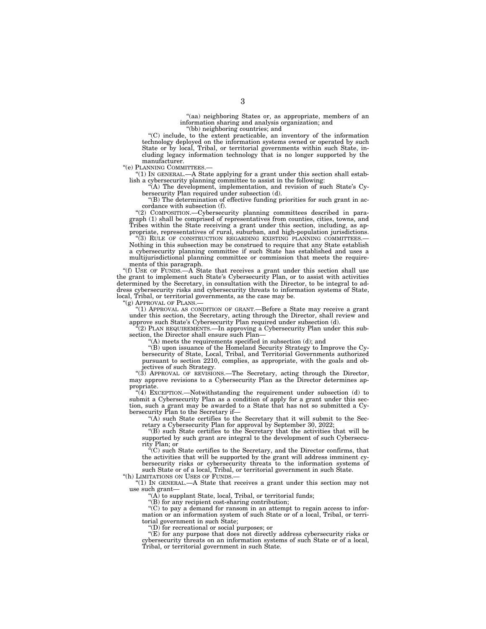"(aa) neighboring States or, as appropriate, members of an information sharing and analysis organization; and ''(bb) neighboring countries; and

''(C) include, to the extent practicable, an inventory of the information technology deployed on the information systems owned or operated by such State or by local, Tribal, or territorial governments within such State, including legacy information technology that is no longer supported by the manufacturer.

''(e) PLANNING COMMITTEES.—

''(1) IN GENERAL.—A State applying for a grant under this section shall establish a cybersecurity planning committee to assist in the following:

''(A) The development, implementation, and revision of such State's Cybersecurity Plan required under subsection (d).

''(B) The determination of effective funding priorities for such grant in accordance with subsection (f).

''(2) COMPOSITION.—Cybersecurity planning committees described in paragraph (1) shall be comprised of representatives from counties, cities, towns, and Tribes within the State receiving a grant under this section, including, as appropriate, representatives of rural, suburban, and high-population jurisdictions.

''(3) RULE OF CONSTRUCTION REGARDING EXISTING PLANNING COMMITTEES.— Nothing in this subsection may be construed to require that any State establish a cybersecurity planning committee if such State has established and uses a multijurisdictional planning committee or commission that meets the requirements of this paragraph.

"(f) USE OF FUNDS.—A State that receives a grant under this section shall use the grant to implement such State's Cybersecurity Plan, or to assist with activities determined by the Secretary, in consultation with the Director, to be integral to address cybersecurity risks and cybersecurity threats to information systems of State, local, Tribal, or territorial governments, as the case may be.

"(g) APPROVAL OF PLANS.

''(1) APPROVAL AS CONDITION OF GRANT.—Before a State may receive a grant under this section, the Secretary, acting through the Director, shall review and approve such State's Cybersecurity Plan required under subsection (d).

 $^{2}(2)$  PLAN REQUIREMENTS.—In approving a Cybersecurity Plan under this subsection, the Director shall ensure such Plan-

 $f(A)$  meets the requirements specified in subsection (d); and

''(B) upon issuance of the Homeland Security Strategy to Improve the Cybersecurity of State, Local, Tribal, and Territorial Governments authorized pursuant to section 2210, complies, as appropriate, with the goals and objectives of such Strategy.

''(3) APPROVAL OF REVISIONS.—The Secretary, acting through the Director, may approve revisions to a Cybersecurity Plan as the Director determines appropriate.

''(4) EXCEPTION.—Notwithstanding the requirement under subsection (d) to submit a Cybersecurity Plan as a condition of apply for a grant under this section, such a grant may be awarded to a State that has not so submitted a Cybersecurity Plan to the Secretary if—

"(A) such State certifies to the Secretary that it will submit to the Secretary a Cybersecurity Plan for approval by September 30, 2022;

''(B) such State certifies to the Secretary that the activities that will be supported by such grant are integral to the development of such Cybersecurity Plan; or

''(C) such State certifies to the Secretary, and the Director confirms, that the activities that will be supported by the grant will address imminent cybersecurity risks or cybersecurity threats to the information systems of such State or of a local, Tribal, or territorial government in such State.

''(h) LIMITATIONS ON USES OF FUNDS.— "(1) IN GENERAL.—A State that receives a grant under this section may not

use such grant—

''(A) to supplant State, local, Tribal, or territorial funds;

''(B) for any recipient cost-sharing contribution;

''(C) to pay a demand for ransom in an attempt to regain access to information or an information system of such State or of a local, Tribal, or territorial government in such State;

 $'(D)$  for recreational or social purposes; or

"(E) for any purpose that does not directly address cybersecurity risks or cybersecurity threats on an information systems of such State or of a local, Tribal, or territorial government in such State.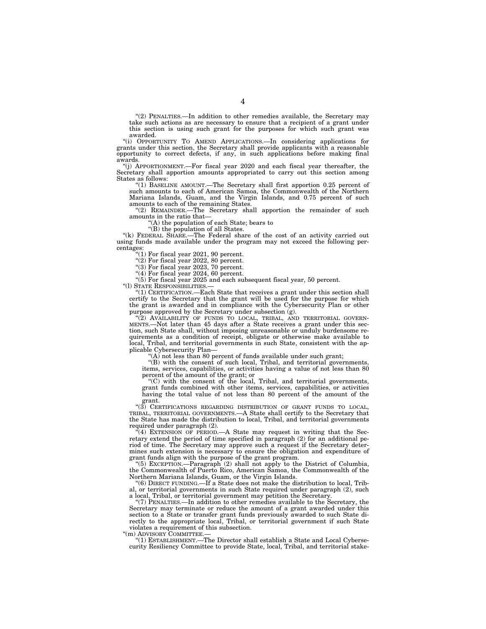''(2) PENALTIES.—In addition to other remedies available, the Secretary may take such actions as are necessary to ensure that a recipient of a grant under this section is using such grant for the purposes for which such grant was awarded.

''(i) OPPORTUNITY TO AMEND APPLICATIONS.—In considering applications for grants under this section, the Secretary shall provide applicants with a reasonable opportunity to correct defects, if any, in such applications before making final awards.

''(j) APPORTIONMENT.—For fiscal year 2020 and each fiscal year thereafter, the Secretary shall apportion amounts appropriated to carry out this section among States as follows:

''(1) BASELINE AMOUNT.—The Secretary shall first apportion 0.25 percent of such amounts to each of American Samoa, the Commonwealth of the Northern Mariana Islands, Guam, and the Virgin Islands, and 0.75 percent of such amounts to each of the remaining States.

(2) REMAINDER.—The Secretary shall apportion the remainder of such amounts in the ratio that—

''(A) the population of each State; bears to

''(B) the population of all States.

''(k) FEDERAL SHARE.—The Federal share of the cost of an activity carried out using funds made available under the program may not exceed the following percentages:

" $(1)$  For fiscal year 2021, 90 percent.

" $(2)$  For fiscal year 2022, 80 percent.

''(3) For fiscal year 2023, 70 percent.

 $(4)$  For fiscal year 2024, 60 percent.

''(5) For fiscal year 2025 and each subsequent fiscal year, 50 percent.

''(l) STATE RESPONSIBILITIES.—

''(1) CERTIFICATION.—Each State that receives a grant under this section shall certify to the Secretary that the grant will be used for the purpose for which the grant is awarded and in compliance with the Cybersecurity Plan or other purpose approved by the Secretary under subsection (g).

"(2) AVAILABILITY OF FUNDS TO LOCAL, TRIBAL, AND TERRITORIAL GOVERN-MENTS.—Not later than 45 days after a State receives a grant under this section, such State shall, without imposing unreasonable or unduly burdensome requirements as a condition of receipt, obligate or otherwise make available to local, Tribal, and territorial governments in such State, consistent with the applicable Cybersecurity Plan—

"(A) not less than 80 percent of funds available under such grant;

"(B) with the consent of such local, Tribal, and territorial governments, items, services, capabilities, or activities having a value of not less than 80 percent of the amount of the grant; or

''(C) with the consent of the local, Tribal, and territorial governments, grant funds combined with other items, services, capabilities, or activities having the total value of not less than 80 percent of the amount of the grant.

"(3) CERTIFICATIONS REGARDING DISTRIBUTION OF GRANT FUNDS TO LOCAL, TRIBAL, TERRITORIAL GOVERNMENTS.—A State shall certify to the Secretary that the State has made the distribution to local, Tribal, and territorial governments required under paragraph (2).

 $\mathcal{F}(4)$  EXTENSION OF PERIOD.—A State may request in writing that the Secretary extend the period of time specified in paragraph (2) for an additional period of time. The Secretary may approve such a request if the Secretary determines such extension is necessary to ensure the obligation and expenditure of grant funds align with the purpose of the grant program.

''(5) EXCEPTION.—Paragraph (2) shall not apply to the District of Columbia, the Commonwealth of Puerto Rico, American Samoa, the Commonwealth of the Northern Mariana Islands, Guam, or the Virgin Islands.

''(6) DIRECT FUNDING.—If a State does not make the distribution to local, Tribal, or territorial governments in such State required under paragraph (2), such a local, Tribal, or territorial government may petition the Secretary.

''(7) PENALTIES.—In addition to other remedies available to the Secretary, the Secretary may terminate or reduce the amount of a grant awarded under this section to a State or transfer grant funds previously awarded to such State directly to the appropriate local, Tribal, or territorial government if such State violates a requirement of this subsection.

''(m) ADVISORY COMMITTEE.—

''(1) ESTABLISHMENT.—The Director shall establish a State and Local Cybersecurity Resiliency Committee to provide State, local, Tribal, and territorial stake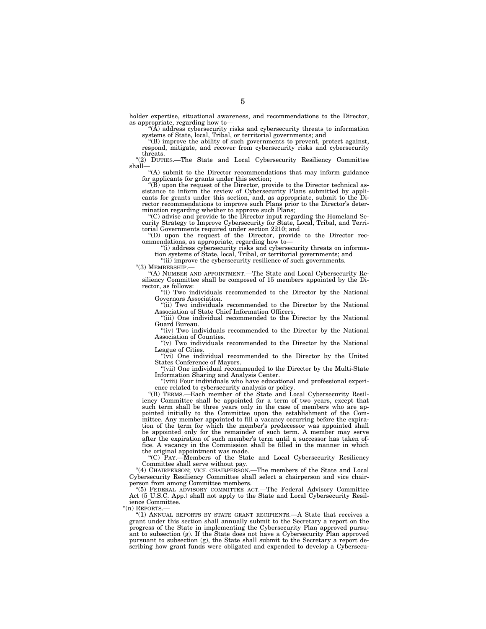holder expertise, situational awareness, and recommendations to the Director, as appropriate, regarding how to—

''(A) address cybersecurity risks and cybersecurity threats to information systems of State, local, Tribal, or territorial governments; and ''(B) improve the ability of such governments to prevent, protect against,

respond, mitigate, and recover from cybersecurity risks and cybersecurity threats.

''(2) DUTIES.—The State and Local Cybersecurity Resiliency Committee shall—

''(A) submit to the Director recommendations that may inform guidance

for applicants for grants under this section;<br>"(B) upon the request of the Director, provide to the Director technical as-<br>sistance to inform the review of Cybersecurity Plans submitted by applicants for grants under this section, and, as appropriate, submit to the Di-rector recommendations to improve such Plans prior to the Director's deter-

mination regarding whether to approve such Plans;<br>"(C) advise and provide to the Director input regarding the Homeland Security Strategy to Improve Cybersecurity for State, Local, Tribal, and Terri-torial Governments required under section 2210; and

''(D) upon the request of the Director, provide to the Director rec-ommendations, as appropriate, regarding how to—

''(i) address cybersecurity risks and cybersecurity threats on information systems of State, local, Tribal, or territorial governments; and

''(ii) improve the cybersecurity resilience of such governments.

''(3) MEMBERSHIP.—

''(A) NUMBER AND APPOINTMENT.—The State and Local Cybersecurity Resiliency Committee shall be composed of 15 members appointed by the Director, as follows:

''(i) Two individuals recommended to the Director by the National Governors Association.

"(ii) Two individuals recommended to the Director by the National Association of State Chief Information Officers.

''(iii) One individual recommended to the Director by the National Guard Bureau.

"(iv) Two individuals recommended to the Director by the National Association of Counties.

" $(v)$  Two individuals recommended to the Director by the National League of Cities.

 $(v_i)$  One individual recommended to the Director by the United States Conference of Mayors.

"(vii) One individual recommended to the Director by the Multi-State Information Sharing and Analysis Center.

''(viii) Four individuals who have educational and professional experience related to cybersecurity analysis or policy.

''(B) TERMS.—Each member of the State and Local Cybersecurity Resiliency Committee shall be appointed for a term of two years, except that such term shall be three years only in the case of members who are appointed initially to the Committee upon the establishment of the Committee. Any member appointed to fill a vacancy occurring before the expiration of the term for which the member's predecessor was appointed shall be appointed only for the remainder of such term. A member may serve after the expiration of such member's term until a successor has taken office. A vacancy in the Commission shall be filled in the manner in which the original appointment was made.

''(C) PAY.—Members of the State and Local Cybersecurity Resiliency Committee shall serve without pay.

''(4) CHAIRPERSON; VICE CHAIRPERSON.—The members of the State and Local Cybersecurity Resiliency Committee shall select a chairperson and vice chairperson from among Committee members.

''(5) FEDERAL ADVISORY COMMITTEE ACT.—The Federal Advisory Committee Act (5 U.S.C. App.) shall not apply to the State and Local Cybersecurity Resilience Committee.

"(n) REPORTS.

''(1) ANNUAL REPORTS BY STATE GRANT RECIPIENTS.—A State that receives a grant under this section shall annually submit to the Secretary a report on the progress of the State in implementing the Cybersecurity Plan approved pursuant to subsection (g). If the State does not have a Cybersecurity Plan approved pursuant to subsection (g), the State shall submit to the Secretary a report describing how grant funds were obligated and expended to develop a Cybersecu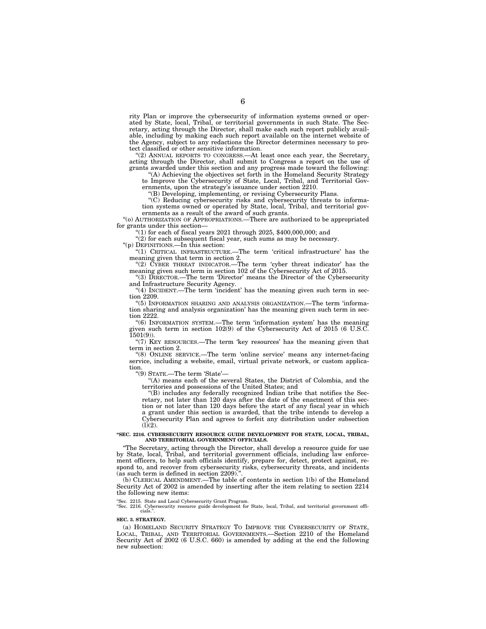rity Plan or improve the cybersecurity of information systems owned or operated by State, local, Tribal, or territorial governments in such State. The Secretary, acting through the Director, shall make each such report publicly available, including by making each such report available on the internet website of the Agency, subject to any redactions the Director determines necessary to protect classified or other sensitive information.

''(2) ANNUAL REPORTS TO CONGRESS.—At least once each year, the Secretary, acting through the Director, shall submit to Congress a report on the use of grants awarded under this section and any progress made toward the following:

'(A) Achieving the objectives set forth in the Homeland Security Strategy to Improve the Cybersecurity of State, Local, Tribal, and Territorial Governments, upon the strategy's issuance under section 2210.

''(B) Developing, implementing, or revising Cybersecurity Plans.

''(C) Reducing cybersecurity risks and cybersecurity threats to information systems owned or operated by State, local, Tribal, and territorial governments as a result of the award of such grants.

''(o) AUTHORIZATION OF APPROPRIATIONS.—There are authorized to be appropriated for grants under this section-

"(1) for each of fiscal years  $2021$  through  $2025$ ,  $$400,000,000$ ; and

 $'(2)$  for each subsequent fiscal year, such sums as may be necessary.

''(p) DEFINITIONS.—In this section:  $-T$ he term 'critical infrastructure' has the meaning given that term in section 2.

"(2) CYBER THREAT INDICATOR.—The term 'cyber threat indicator' has the meaning given such term in section 102 of the Cybersecurity Act of 2015.

(3) DIRECTOR.—The term 'Director' means the Director of the Cybersecurity and Infrastructure Security Agency.

"(4) INCIDENT.—The term 'incident' has the meaning given such term in section 2209.

''(5) INFORMATION SHARING AND ANALYSIS ORGANIZATION.—The term 'information sharing and analysis organization' has the meaning given such term in section 2222.

''(6) INFORMATION SYSTEM.—The term 'information system' has the meaning given such term in section 102(9) of the Cybersecurity Act of 2015 (6 U.S.C.  $1501(9)$ ).

"(7) KEY RESOURCES.—The term 'key resources' has the meaning given that term in section 2.

''(8) ONLINE SERVICE.—The term 'online service' means any internet-facing service, including a website, email, virtual private network, or custom application.

''(9) STATE.—The term 'State'—

''(A) means each of the several States, the District of Colombia, and the territories and possessions of the United States; and

''(B) includes any federally recognized Indian tribe that notifies the Secretary, not later than 120 days after the date of the enactment of this section or not later than 120 days before the start of any fiscal year in which a grant under this section is awarded, that the tribe intends to develop a Cybersecurity Plan and agrees to forfeit any distribution under subsection  $(l)(2)$ .

#### **''SEC. 2216. CYBERSECURITY RESOURCE GUIDE DEVELOPMENT FOR STATE, LOCAL, TRIBAL, AND TERRITORIAL GOVERNMENT OFFICIALS.**

''The Secretary, acting through the Director, shall develop a resource guide for use by State, local, Tribal, and territorial government officials, including law enforcement officers, to help such officials identify, prepare for, detect, protect against, respond to, and recover from cybersecurity risks, cybersecurity threats, and incidents (as such term is defined in section 2209).

(b) CLERICAL AMENDMENT.—The table of contents in section 1(b) of the Homeland Security Act of 2002 is amended by inserting after the item relating to section 2214 the following new items:

''Sec. 2215. State and Local Cybersecurity Grant Program. ''Sec. 2216. Cybersecurity resource guide development for State, local, Tribal, and territorial government offi-cials.''.

#### **SEC. 3. STRATEGY.**

(a) HOMELAND SECURITY STRATEGY TO IMPROVE THE CYBERSECURITY OF STATE, LOCAL, TRIBAL, AND TERRITORIAL GOVERNMENTS.—Section 2210 of the Homeland Security Act of 2002 (6 U.S.C. 660) is amended by adding at the end the following new subsection: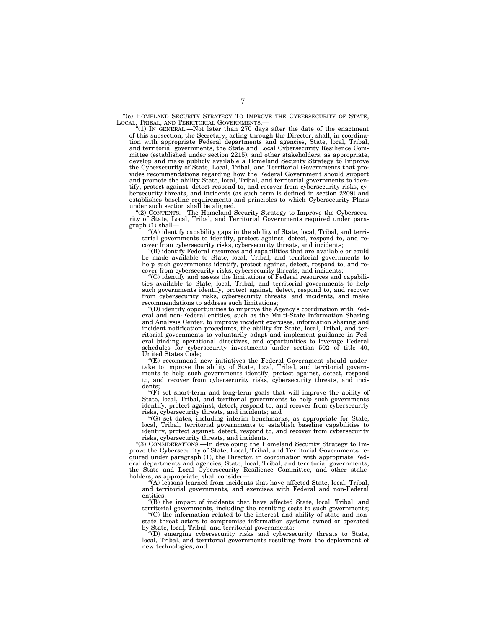''(e) HOMELAND SECURITY STRATEGY TO IMPROVE THE CYBERSECURITY OF STATE, LOCAL, TRIBAL, AND TERRITORIAL GOVERNMENTS.—

''(1) IN GENERAL.—Not later than 270 days after the date of the enactment of this subsection, the Secretary, acting through the Director, shall, in coordination with appropriate Federal departments and agencies, State, local, Tribal, and territorial governments, the State and Local Cybersecurity Resilience Committee (established under section 2215), and other stakeholders, as appropriate, develop and make publicly available a Homeland Security Strategy to Improve the Cybersecurity of State, Local, Tribal, and Territorial Governments that provides recommendations regarding how the Federal Government should support and promote the ability State, local, Tribal, and territorial governments to identify, protect against, detect respond to, and recover from cybersecurity risks, cybersecurity threats, and incidents (as such term is defined in section 2209) and establishes baseline requirements and principles to which Cybersecurity Plans under such section shall be aligned.

''(2) CONTENTS.—The Homeland Security Strategy to Improve the Cybersecurity of State, Local, Tribal, and Territorial Governments required under paragraph (1) shall—

''(A) identify capability gaps in the ability of State, local, Tribal, and territorial governments to identify, protect against, detect, respond to, and recover from cybersecurity risks, cybersecurity threats, and incidents;

''(B) identify Federal resources and capabilities that are available or could be made available to State, local, Tribal, and territorial governments to help such governments identify, protect against, detect, respond to, and recover from cybersecurity risks, cybersecurity threats, and incidents;

''(C) identify and assess the limitations of Federal resources and capabilities available to State, local, Tribal, and territorial governments to help such governments identify, protect against, detect, respond to, and recover from cybersecurity risks, cybersecurity threats, and incidents, and make recommendations to address such limitations;

''(D) identify opportunities to improve the Agency's coordination with Federal and non-Federal entities, such as the Multi-State Information Sharing and Analysis Center, to improve incident exercises, information sharing and incident notification procedures, the ability for State, local, Tribal, and territorial governments to voluntarily adapt and implement guidance in Federal binding operational directives, and opportunities to leverage Federal schedules for cybersecurity investments under section 502 of title 40, United States Code;

''(E) recommend new initiatives the Federal Government should undertake to improve the ability of State, local, Tribal, and territorial governments to help such governments identify, protect against, detect, respond to, and recover from cybersecurity risks, cybersecurity threats, and incidents;

" $(F)$  set short-term and long-term goals that will improve the ability of State, local, Tribal, and territorial governments to help such governments identify, protect against, detect, respond to, and recover from cybersecurity risks, cybersecurity threats, and incidents; and

''(G) set dates, including interim benchmarks, as appropriate for State, local, Tribal, territorial governments to establish baseline capabilities to identify, protect against, detect, respond to, and recover from cybersecurity risks, cybersecurity threats, and incidents.

''(3) CONSIDERATIONS.—In developing the Homeland Security Strategy to Improve the Cybersecurity of State, Local, Tribal, and Territorial Governments required under paragraph (1), the Director, in coordination with appropriate Federal departments and agencies, State, local, Tribal, and territorial governments, the State and Local Cybersecurity Resilience Committee, and other stakeholders, as appropriate, shall consider—

(A) lessons learned from incidents that have affected State, local, Tribal, and territorial governments, and exercises with Federal and non-Federal entities;

''(B) the impact of incidents that have affected State, local, Tribal, and territorial governments, including the resulting costs to such governments;

''(C) the information related to the interest and ability of state and nonstate threat actors to compromise information systems owned or operated by State, local, Tribal, and territorial governments;

''(D) emerging cybersecurity risks and cybersecurity threats to State, local, Tribal, and territorial governments resulting from the deployment of new technologies; and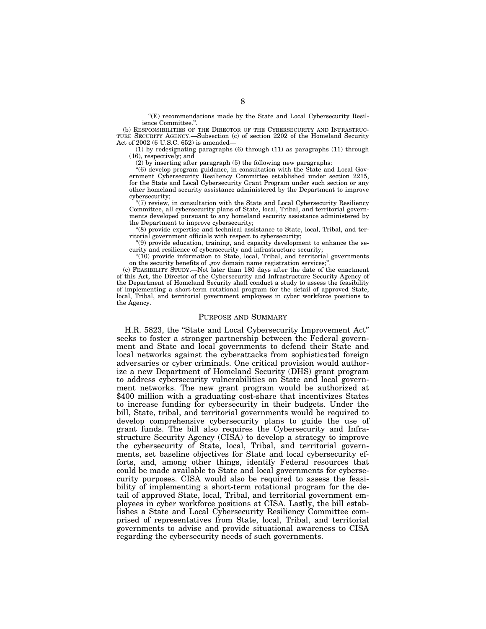''(E) recommendations made by the State and Local Cybersecurity Resilience Committee.''.

(b) RESPONSIBILITIES OF THE DIRECTOR OF THE CYBERSECURITY AND INFRASTRUC-TURE SECURITY AGENCY.—Subsection (c) of section 2202 of the Homeland Security Act of 2002 (6 U.S.C. 652) is amended—

(1) by redesignating paragraphs (6) through (11) as paragraphs (11) through (16), respectively; and

(2) by inserting after paragraph (5) the following new paragraphs:

''(6) develop program guidance, in consultation with the State and Local Government Cybersecurity Resiliency Committee established under section 2215, for the State and Local Cybersecurity Grant Program under such section or any other homeland security assistance administered by the Department to improve cybersecurity;

"(7) review, in consultation with the State and Local Cybersecurity Resiliency Committee, all cybersecurity plans of State, local, Tribal, and territorial governments developed pursuant to any homeland security assistance administered by the Department to improve cybersecurity;

''(8) provide expertise and technical assistance to State, local, Tribal, and territorial government officials with respect to cybersecurity;

''(9) provide education, training, and capacity development to enhance the security and resilience of cybersecurity and infrastructure security;

''(10) provide information to State, local, Tribal, and territorial governments on the security benefits of .gov domain name registration services;

(c) FEASIBILITY STUDY.—Not later than 180 days after the date of the enactment of this Act, the Director of the Cybersecurity and Infrastructure Security Agency of the Department of Homeland Security shall conduct a study to assess the feasibility of implementing a short-term rotational program for the detail of approved State, local, Tribal, and territorial government employees in cyber workforce positions to the Agency.

#### PURPOSE AND SUMMARY

H.R. 5823, the ''State and Local Cybersecurity Improvement Act'' seeks to foster a stronger partnership between the Federal government and State and local governments to defend their State and local networks against the cyberattacks from sophisticated foreign adversaries or cyber criminals. One critical provision would authorize a new Department of Homeland Security (DHS) grant program to address cybersecurity vulnerabilities on State and local government networks. The new grant program would be authorized at \$400 million with a graduating cost-share that incentivizes States to increase funding for cybersecurity in their budgets. Under the bill, State, tribal, and territorial governments would be required to develop comprehensive cybersecurity plans to guide the use of grant funds. The bill also requires the Cybersecurity and Infrastructure Security Agency (CISA) to develop a strategy to improve the cybersecurity of State, local, Tribal, and territorial governments, set baseline objectives for State and local cybersecurity efforts, and, among other things, identify Federal resources that could be made available to State and local governments for cybersecurity purposes. CISA would also be required to assess the feasibility of implementing a short-term rotational program for the detail of approved State, local, Tribal, and territorial government employees in cyber workforce positions at CISA. Lastly, the bill establishes a State and Local Cybersecurity Resiliency Committee comprised of representatives from State, local, Tribal, and territorial governments to advise and provide situational awareness to CISA regarding the cybersecurity needs of such governments.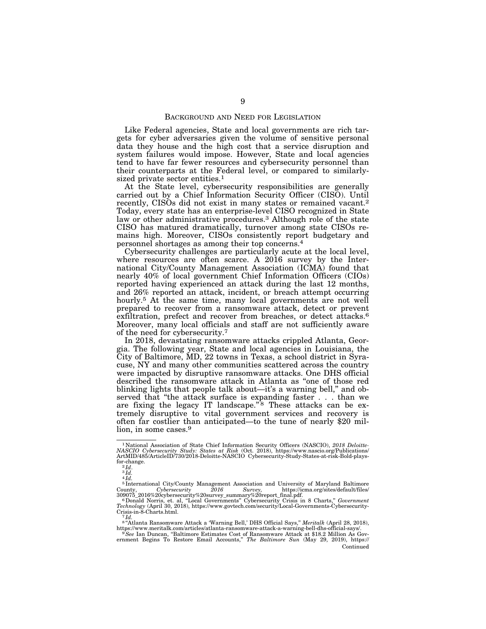#### BACKGROUND AND NEED FOR LEGISLATION

Like Federal agencies, State and local governments are rich targets for cyber adversaries given the volume of sensitive personal data they house and the high cost that a service disruption and system failures would impose. However, State and local agencies tend to have far fewer resources and cybersecurity personnel than their counterparts at the Federal level, or compared to similarlysized private sector entities.<sup>1</sup>

At the State level, cybersecurity responsibilities are generally carried out by a Chief Information Security Officer (CISO). Until recently, CISOs did not exist in many states or remained vacant.2 Today, every state has an enterprise-level CISO recognized in State law or other administrative procedures.3 Although role of the state CISO has matured dramatically, turnover among state CISOs remains high. Moreover, CISOs consistently report budgetary and personnel shortages as among their top concerns.4

Cybersecurity challenges are particularly acute at the local level, where resources are often scarce. A 2016 survey by the International City/County Management Association (ICMA) found that nearly 40% of local government Chief Information Officers (CIOs) reported having experienced an attack during the last 12 months, and 26% reported an attack, incident, or breach attempt occurring hourly.<sup>5</sup> At the same time, many local governments are not well prepared to recover from a ransomware attack, detect or prevent exfiltration, prefect and recover from breaches, or detect attacks.<sup>6</sup> Moreover, many local officials and staff are not sufficiently aware of the need for cybersecurity.7

In 2018, devastating ransomware attacks crippled Atlanta, Georgia. The following year, State and local agencies in Louisiana, the City of Baltimore, MD, 22 towns in Texas, a school district in Syracuse, NY and many other communities scattered across the country were impacted by disruptive ransomware attacks. One DHS official described the ransomware attack in Atlanta as ''one of those red blinking lights that people talk about—it's a warning bell,'' and observed that ''the attack surface is expanding faster . . . than we are fixing the legacy IT landscape." $8$  These attacks can be extremely disruptive to vital government services and recovery is often far costlier than anticipated—to the tune of nearly \$20 million, in some cases.<sup>9</sup>

<sup>&</sup>lt;sup>1</sup>National Association of State Chief Information Security Officers (NASCIO), 2018 Deloitte-<br>NASCIO Cybersecurity Study: States at Risk (Oct. 2018), https://www.nascio.org/Publications/<br>ArtMID/485/ArticleID/730/2018-Deloi for-change.  $^{2}$ *Id.*  $^{3}$ *Id.* 

 $4 Id.$ 

<sup>&</sup>lt;sup>5</sup> International City/County Management Association and University of Maryland Baltimore<br>ounty, Cybersecurity 2016 Survey, https://icma.org/sites/default/files/ County, Cybersecurity 2016 Survey, https://icma.org/sites/default/files/<br>309075\_2016%20cybersecurity%20survey\_summary%20report\_final.pdf.<br>6 Donald Norris, et. al, "Local Governments" Cybersecurity Crisis in 8 Charts," *Gov* 

Crisis-in-8-Charts.html.<br><sup>7</sup> *Id.*<br><sup>8 "</sup>Atlanta Ransomware Attack a 'Warning Bell,' DHS Official Says," *Meritalk (*April 28, 2018),

https://www.meritalk.com/articles/atlanta-ransomware-attack-a-warning-bell-dhs-official-says/.<br><sup>9</sup> See Ian Duncan, "Baltimore Estimates Cost of Ransomware Attack at \$18.2 Million As Gov-<br>ernment Begins To Restore Email Acc Continued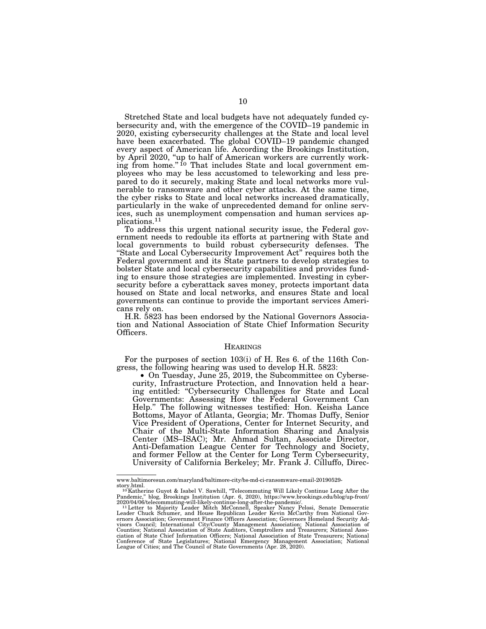Stretched State and local budgets have not adequately funded cybersecurity and, with the emergence of the COVID–19 pandemic in 2020, existing cybersecurity challenges at the State and local level have been exacerbated. The global COVID-19 pandemic changed every aspect of American life. According the Brookings Institution, by April 2020, "up to half of American workers are currently working from home."<sup>10</sup> That includes State and local government employees who may be less accustomed to teleworking and less prepared to do it securely, making State and local networks more vulnerable to ransomware and other cyber attacks. At the same time, the cyber risks to State and local networks increased dramatically, particularly in the wake of unprecedented demand for online services, such as unemployment compensation and human services applications.11

To address this urgent national security issue, the Federal government needs to redouble its efforts at partnering with State and local governments to build robust cybersecurity defenses. The "State and Local Cybersecurity Improvement Act" requires both the Federal government and its State partners to develop strategies to bolster State and local cybersecurity capabilities and provides funding to ensure those strategies are implemented. Investing in cybersecurity before a cyberattack saves money, protects important data housed on State and local networks, and ensures State and local governments can continue to provide the important services Americans rely on.

H.R. 5823 has been endorsed by the National Governors Association and National Association of State Chief Information Security Officers.

#### **HEARINGS**

For the purposes of section 103(i) of H. Res 6. of the 116th Congress, the following hearing was used to develop H.R. 5823:

• On Tuesday, June 25, 2019, the Subcommittee on Cybersecurity, Infrastructure Protection, and Innovation held a hearing entitled: "Cybersecurity Challenges for State and Local Governments: Assessing How the Federal Government Can Help.'' The following witnesses testified: Hon. Keisha Lance Bottoms, Mayor of Atlanta, Georgia; Mr. Thomas Duffy, Senior Vice President of Operations, Center for Internet Security, and Chair of the Multi-State Information Sharing and Analysis Center (MS–ISAC); Mr. Ahmad Sultan, Associate Director, Anti-Defamation League Center for Technology and Society, and former Fellow at the Center for Long Term Cybersecurity, University of California Berkeley; Mr. Frank J. Cilluffo, Direc-

www.baltimoresun.com/maryland/baltimore-city/bs-md-ci-ransomware-email-20190529-

story.html.<br><sup>10</sup>Katherine Guyot & Isabel V. Sawhill, "Telecommuting Will Likely Continue Long After the<br>Pandemic," blog, Brookings Institution (Apr. 6, 2020), https://www.brookings.edu/blog/up-front/

<sup>2020/04/06/</sup>telecommuting-will-likely-continue-long-after-the-pandemic/.<br>- ''Letter to Majority Leader Mitch McConnell, Speaker Nancy Pelosi, Senate Democratic<br>Leader Chuck Schumer, and House Republican Leader Kevin McCarth ernors Association; Government Finance Officers Association; Governors Homeland Security Ad-<br>visors Council; International City/County Management Association; National Association of<br>Counties; National Association of State ciation of State Chief Information Officers; National Association of State Treasurers; National<br>Conference of State Legislatures; National Emergency Management Association; National<br>League of Cities; and The Council of Sta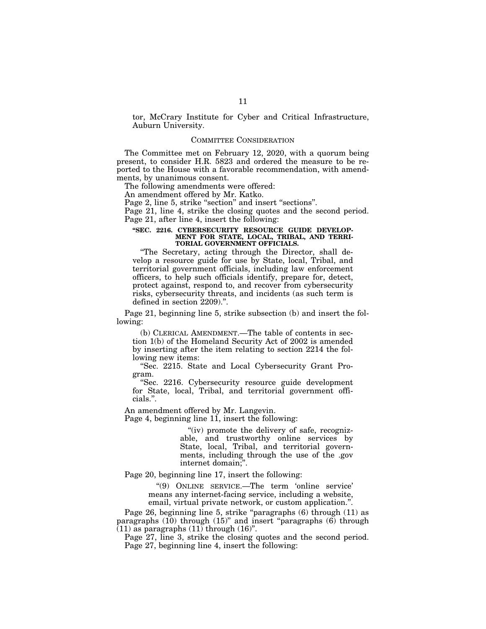tor, McCrary Institute for Cyber and Critical Infrastructure, Auburn University.

#### COMMITTEE CONSIDERATION

The Committee met on February 12, 2020, with a quorum being present, to consider H.R. 5823 and ordered the measure to be reported to the House with a favorable recommendation, with amendments, by unanimous consent.

The following amendments were offered:

An amendment offered by Mr. Katko.

Page 2, line 5, strike "section" and insert "sections".

Page 21, line 4, strike the closing quotes and the second period. Page 21, after line 4, insert the following:

#### **''SEC. 2216. CYBERSECURITY RESOURCE GUIDE DEVELOP-MENT FOR STATE, LOCAL, TRIBAL, AND TERRI-TORIAL GOVERNMENT OFFICIALS.**

''The Secretary, acting through the Director, shall develop a resource guide for use by State, local, Tribal, and territorial government officials, including law enforcement officers, to help such officials identify, prepare for, detect, protect against, respond to, and recover from cybersecurity risks, cybersecurity threats, and incidents (as such term is defined in section 2209).''.

Page 21, beginning line 5, strike subsection (b) and insert the following:

(b) CLERICAL AMENDMENT.—The table of contents in section 1(b) of the Homeland Security Act of 2002 is amended by inserting after the item relating to section 2214 the following new items:

''Sec. 2215. State and Local Cybersecurity Grant Program.

''Sec. 2216. Cybersecurity resource guide development for State, local, Tribal, and territorial government officials.''.

An amendment offered by Mr. Langevin.

Page 4, beginning line  $11$ , insert the following:

" $(iv)$  promote the delivery of safe, recognizable, and trustworthy online services by State, local, Tribal, and territorial governments, including through the use of the .gov internet domain;''.

Page 20, beginning line 17, insert the following:

''(9) ONLINE SERVICE.—The term 'online service' means any internet-facing service, including a website, email, virtual private network, or custom application.''.

Page 26, beginning line 5, strike "paragraphs (6) through (11) as paragraphs (10) through (15)" and insert "paragraphs (6) through  $(11)$  as paragraphs  $(11)$  through  $(16)$ ".

Page 27, line 3, strike the closing quotes and the second period. Page 27, beginning line 4, insert the following: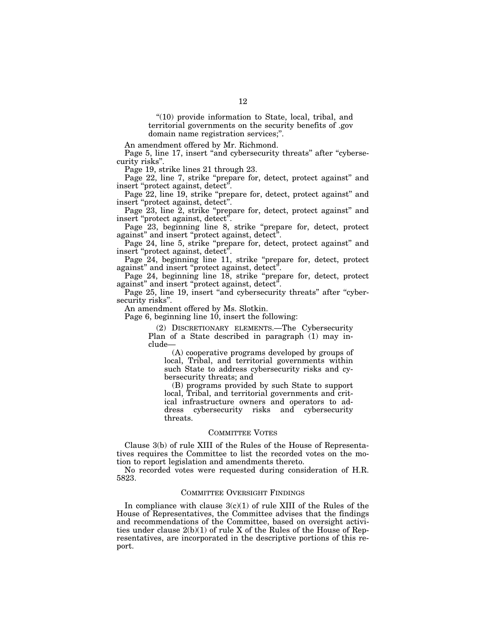''(10) provide information to State, local, tribal, and territorial governments on the security benefits of .gov domain name registration services;''.

An amendment offered by Mr. Richmond.

Page 5, line 17, insert "and cybersecurity threats" after "cybersecurity risks''.

Page 19, strike lines 21 through 23.

Page 22, line 7, strike "prepare for, detect, protect against" and insert ''protect against, detect''.

Page 22, line 19, strike "prepare for, detect, protect against" and insert ''protect against, detect''.

Page 23, line 2, strike "prepare for, detect, protect against" and insert "protect against, detect".

Page 23, beginning line 8, strike "prepare for, detect, protect against" and insert "protect against, detect".

Page 24, line 5, strike ''prepare for, detect, protect against'' and insert "protect against, detect".

Page 24, beginning line 11, strike "prepare for, detect, protect against" and insert "protect against, detect".

Page 24, beginning line 18, strike "prepare for, detect, protect against" and insert "protect against, detect".

Page 25, line 19, insert "and cybersecurity threats" after "cybersecurity risks''.

An amendment offered by Ms. Slotkin.

Page 6, beginning line 10, insert the following:

(2) DISCRETIONARY ELEMENTS.—The Cybersecurity Plan of a State described in paragraph (1) may include—

(A) cooperative programs developed by groups of local, Tribal, and territorial governments within such State to address cybersecurity risks and cybersecurity threats; and

(B) programs provided by such State to support local, Tribal, and territorial governments and critical infrastructure owners and operators to address cybersecurity risks and cybersecurity threats.

## COMMITTEE VOTES

Clause 3(b) of rule XIII of the Rules of the House of Representatives requires the Committee to list the recorded votes on the motion to report legislation and amendments thereto.

No recorded votes were requested during consideration of H.R. 5823.

### COMMITTEE OVERSIGHT FINDINGS

In compliance with clause  $3(c)(1)$  of rule XIII of the Rules of the House of Representatives, the Committee advises that the findings and recommendations of the Committee, based on oversight activities under clause  $2(b)(1)$  of rule X of the Rules of the House of Representatives, are incorporated in the descriptive portions of this report.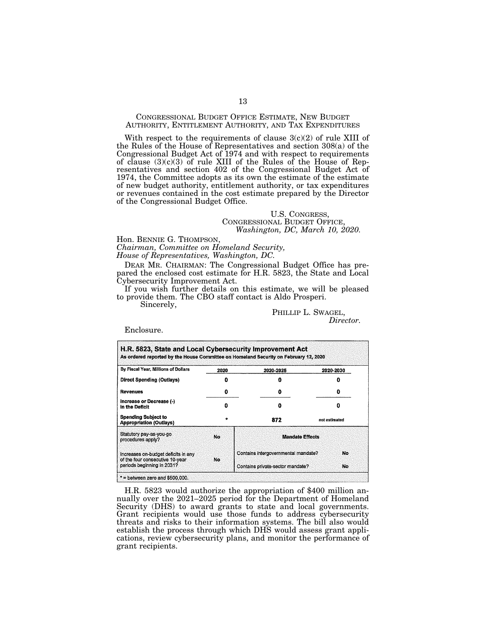## CONGRESSIONAL BUDGET OFFICE ESTIMATE, NEW BUDGET AUTHORITY, ENTITLEMENT AUTHORITY, AND TAX EXPENDITURES

With respect to the requirements of clause 3(c)(2) of rule XIII of the Rules of the House of Representatives and section 308(a) of the Congressional Budget Act of 1974 and with respect to requirements of clause  $(3)(c)(3)$  of rule XIII of the Rules of the House of Representatives and section 402 of the Congressional Budget Act of 1974, the Committee adopts as its own the estimate of the estimate of new budget authority, entitlement authority, or tax expenditures or revenues contained in the cost estimate prepared by the Director of the Congressional Budget Office.

### U.S. CONGRESS, CONGRESSIONAL BUDGET OFFICE, *Washington, DC, March 10, 2020.*

Hon. BENNIE G. THOMPSON,

*Chairman, Committee on Homeland Security, House of Representatives, Washington, DC.* 

DEAR MR. CHAIRMAN: The Congressional Budget Office has prepared the enclosed cost estimate for H.R. 5823, the State and Local Cybersecurity Improvement Act.

If you wish further details on this estimate, we will be pleased to provide them. The CBO staff contact is Aldo Prosperi.

Sincerely,

PHILLIP L. SWAGEL,

*Director.* 

Enclosure.

| By Fiscal Year, Millions of Dollars                                    | 2020 | 2020-2025                           | 2020-2030          |  |  |  |
|------------------------------------------------------------------------|------|-------------------------------------|--------------------|--|--|--|
| <b>Direct Spending (Outlays)</b>                                       | O    | Ω                                   |                    |  |  |  |
| <b>Revenues</b>                                                        | Ð    | o                                   | Ð                  |  |  |  |
| Increase or Decrease (-)<br>In the Deficit                             | Ω    | Ω                                   | o<br>not estimated |  |  |  |
| <b>Spending Subject to</b><br><b>Appropriation (Outlays)</b>           | ÷    | 872                                 |                    |  |  |  |
| Statutory pay-as-you-go<br>procedures apply?                           | No   | <b>Mandate Effects</b>              |                    |  |  |  |
| Increases on-budget deficits in any<br>of the four consecutive 10-year | No.  | Contains intergovernmental mandate? | No                 |  |  |  |
| periods beginning in 2031?                                             |      | Contains private-sector mandate?    | No                 |  |  |  |

H.R. 5823 would authorize the appropriation of \$400 million annually over the 2021–2025 period for the Department of Homeland Security (DHS) to award grants to state and local governments. Grant recipients would use those funds to address cybersecurity threats and risks to their information systems. The bill also would establish the process through which DHS would assess grant applications, review cybersecurity plans, and monitor the performance of grant recipients.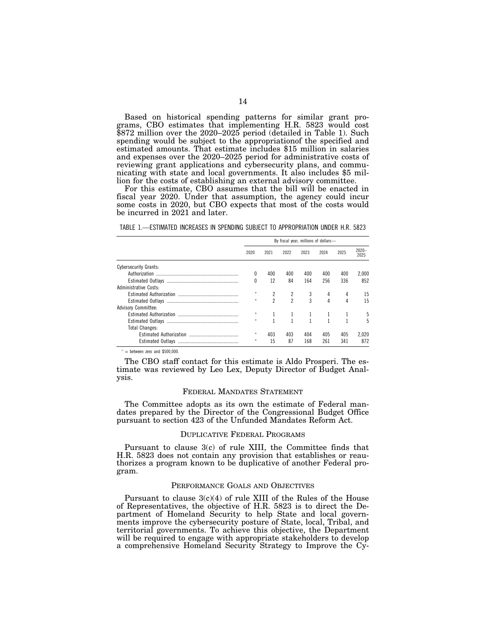Based on historical spending patterns for similar grant programs, CBO estimates that implementing H.R. 5823 would cost \$872 million over the 2020–2025 period (detailed in Table 1). Such spending would be subject to the appropriationof the specified and estimated amounts. That estimate includes \$15 million in salaries and expenses over the 2020–2025 period for administrative costs of reviewing grant applications and cybersecurity plans, and communicating with state and local governments. It also includes \$5 million for the costs of establishing an external advisory committee.

For this estimate, CBO assumes that the bill will be enacted in fiscal year 2020. Under that assumption, the agency could incur some costs in 2020, but CBO expects that most of the costs would be incurred in 2021 and later.

TABLE 1.—ESTIMATED INCREASES IN SPENDING SUBJECT TO APPROPRIATION UNDER H.R. 5823

|                              | By fiscal year, millions of dollars- |                |      |      |      |      |                  |
|------------------------------|--------------------------------------|----------------|------|------|------|------|------------------|
|                              | 2020                                 | 2021           | 2022 | 2023 | 2024 | 2025 | $2020 -$<br>2025 |
| <b>Cybersecurity Grants:</b> |                                      |                |      |      |      |      |                  |
|                              |                                      | 400            | 400  | 400  | 400  | 400  | 2.000            |
|                              | 0                                    | 12             | 84   | 164  | 256  | 336  | 852              |
| Administrative Costs:        |                                      |                |      |      |      |      |                  |
|                              | 永                                    |                |      | 3    | 4    |      | 15               |
|                              | sk.                                  | $\mathfrak{p}$ | 2    | 3    | 4    |      | 15               |
| <b>Advisory Committee:</b>   |                                      |                |      |      |      |      |                  |
|                              |                                      |                |      |      |      |      |                  |
|                              | 永                                    |                |      |      |      |      | 5                |
| <b>Total Changes:</b>        |                                      |                |      |      |      |      |                  |
|                              | 永                                    | 403            | 403  | 404  | 405  | 405  | 2.020            |
|                              | 永                                    | 15             | 87   | 168  | 261  | 341  | 872              |

 $* =$  between zero and \$500,000

The CBO staff contact for this estimate is Aldo Prosperi. The estimate was reviewed by Leo Lex, Deputy Director of Budget Analysis.

#### FEDERAL MANDATES STATEMENT

The Committee adopts as its own the estimate of Federal mandates prepared by the Director of the Congressional Budget Office pursuant to section 423 of the Unfunded Mandates Reform Act.

#### DUPLICATIVE FEDERAL PROGRAMS

Pursuant to clause 3(c) of rule XIII, the Committee finds that H.R. 5823 does not contain any provision that establishes or reauthorizes a program known to be duplicative of another Federal program.

#### PERFORMANCE GOALS AND OBJECTIVES

Pursuant to clause 3(c)(4) of rule XIII of the Rules of the House of Representatives, the objective of H.R. 5823 is to direct the Department of Homeland Security to help State and local governments improve the cybersecurity posture of State, local, Tribal, and territorial governments. To achieve this objective, the Department will be required to engage with appropriate stakeholders to develop a comprehensive Homeland Security Strategy to Improve the Cy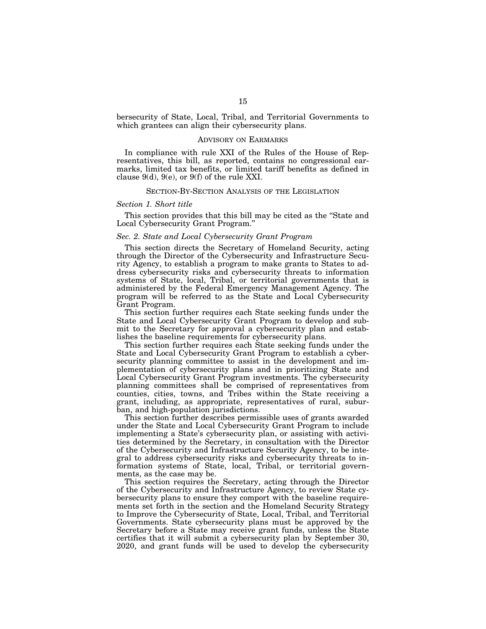bersecurity of State, Local, Tribal, and Territorial Governments to which grantees can align their cybersecurity plans.

### ADVISORY ON EARMARKS

In compliance with rule XXI of the Rules of the House of Representatives, this bill, as reported, contains no congressional earmarks, limited tax benefits, or limited tariff benefits as defined in clause  $9(d)$ ,  $9(e)$ , or  $9(f)$  of the rule XXI.

#### SECTION-BY-SECTION ANALYSIS OF THE LEGISLATION

#### *Section 1. Short title*

This section provides that this bill may be cited as the ''State and Local Cybersecurity Grant Program.''

### *Sec. 2. State and Local Cybersecurity Grant Program*

This section directs the Secretary of Homeland Security, acting through the Director of the Cybersecurity and Infrastructure Security Agency, to establish a program to make grants to States to address cybersecurity risks and cybersecurity threats to information systems of State, local, Tribal, or territorial governments that is administered by the Federal Emergency Management Agency. The program will be referred to as the State and Local Cybersecurity Grant Program.

This section further requires each State seeking funds under the State and Local Cybersecurity Grant Program to develop and submit to the Secretary for approval a cybersecurity plan and establishes the baseline requirements for cybersecurity plans.

This section further requires each State seeking funds under the State and Local Cybersecurity Grant Program to establish a cybersecurity planning committee to assist in the development and implementation of cybersecurity plans and in prioritizing State and Local Cybersecurity Grant Program investments. The cybersecurity planning committees shall be comprised of representatives from counties, cities, towns, and Tribes within the State receiving a grant, including, as appropriate, representatives of rural, suburban, and high-population jurisdictions.

This section further describes permissible uses of grants awarded under the State and Local Cybersecurity Grant Program to include implementing a State's cybersecurity plan, or assisting with activities determined by the Secretary, in consultation with the Director of the Cybersecurity and Infrastructure Security Agency, to be integral to address cybersecurity risks and cybersecurity threats to information systems of State, local, Tribal, or territorial governments, as the case may be.

This section requires the Secretary, acting through the Director of the Cybersecurity and Infrastructure Agency, to review State cybersecurity plans to ensure they comport with the baseline requirements set forth in the section and the Homeland Security Strategy to Improve the Cybersecurity of State, Local, Tribal, and Territorial Governments. State cybersecurity plans must be approved by the Secretary before a State may receive grant funds, unless the State certifies that it will submit a cybersecurity plan by September 30, 2020, and grant funds will be used to develop the cybersecurity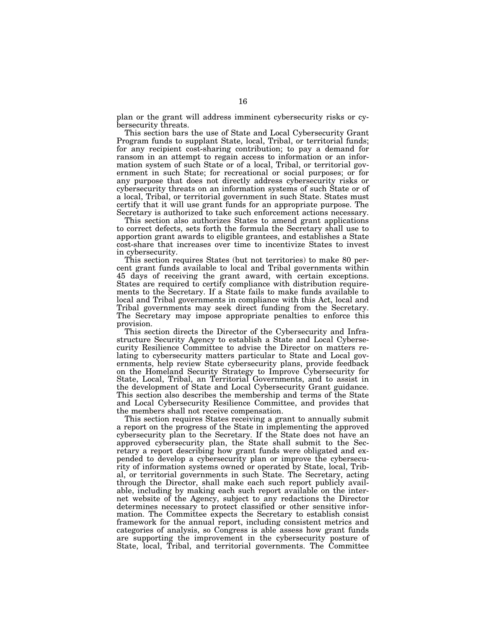plan or the grant will address imminent cybersecurity risks or cybersecurity threats.

This section bars the use of State and Local Cybersecurity Grant Program funds to supplant State, local, Tribal, or territorial funds; for any recipient cost-sharing contribution; to pay a demand for ransom in an attempt to regain access to information or an information system of such State or of a local, Tribal, or territorial government in such State; for recreational or social purposes; or for any purpose that does not directly address cybersecurity risks or cybersecurity threats on an information systems of such State or of a local, Tribal, or territorial government in such State. States must certify that it will use grant funds for an appropriate purpose. The Secretary is authorized to take such enforcement actions necessary.

This section also authorizes States to amend grant applications to correct defects, sets forth the formula the Secretary shall use to apportion grant awards to eligible grantees, and establishes a State cost-share that increases over time to incentivize States to invest in cybersecurity.

This section requires States (but not territories) to make 80 percent grant funds available to local and Tribal governments within 45 days of receiving the grant award, with certain exceptions. States are required to certify compliance with distribution requirements to the Secretary. If a State fails to make funds available to local and Tribal governments in compliance with this Act, local and Tribal governments may seek direct funding from the Secretary. The Secretary may impose appropriate penalties to enforce this provision.

This section directs the Director of the Cybersecurity and Infrastructure Security Agency to establish a State and Local Cybersecurity Resilience Committee to advise the Director on matters relating to cybersecurity matters particular to State and Local governments, help review State cybersecurity plans, provide feedback on the Homeland Security Strategy to Improve Cybersecurity for State, Local, Tribal, an Territorial Governments, and to assist in the development of State and Local Cybersecurity Grant guidance. This section also describes the membership and terms of the State and Local Cybersecurity Resilience Committee, and provides that the members shall not receive compensation.

This section requires States receiving a grant to annually submit a report on the progress of the State in implementing the approved cybersecurity plan to the Secretary. If the State does not have an approved cybersecurity plan, the State shall submit to the Secretary a report describing how grant funds were obligated and expended to develop a cybersecurity plan or improve the cybersecurity of information systems owned or operated by State, local, Tribal, or territorial governments in such State. The Secretary, acting through the Director, shall make each such report publicly available, including by making each such report available on the internet website of the Agency, subject to any redactions the Director determines necessary to protect classified or other sensitive information. The Committee expects the Secretary to establish consist framework for the annual report, including consistent metrics and categories of analysis, so Congress is able assess how grant funds are supporting the improvement in the cybersecurity posture of State, local, Tribal, and territorial governments. The Committee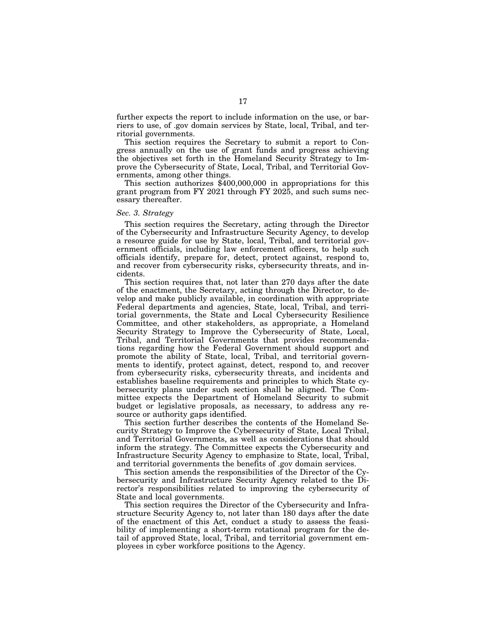further expects the report to include information on the use, or barriers to use, of .gov domain services by State, local, Tribal, and territorial governments.

This section requires the Secretary to submit a report to Congress annually on the use of grant funds and progress achieving the objectives set forth in the Homeland Security Strategy to Improve the Cybersecurity of State, Local, Tribal, and Territorial Governments, among other things.

This section authorizes \$400,000,000 in appropriations for this grant program from FY 2021 through FY 2025, and such sums necessary thereafter.

## *Sec. 3. Strategy*

This section requires the Secretary, acting through the Director of the Cybersecurity and Infrastructure Security Agency, to develop a resource guide for use by State, local, Tribal, and territorial government officials, including law enforcement officers, to help such officials identify, prepare for, detect, protect against, respond to, and recover from cybersecurity risks, cybersecurity threats, and incidents.

This section requires that, not later than 270 days after the date of the enactment, the Secretary, acting through the Director, to develop and make publicly available, in coordination with appropriate Federal departments and agencies, State, local, Tribal, and territorial governments, the State and Local Cybersecurity Resilience Committee, and other stakeholders, as appropriate, a Homeland Security Strategy to Improve the Cybersecurity of State, Local, Tribal, and Territorial Governments that provides recommendations regarding how the Federal Government should support and promote the ability of State, local, Tribal, and territorial governments to identify, protect against, detect, respond to, and recover from cybersecurity risks, cybersecurity threats, and incidents and establishes baseline requirements and principles to which State cybersecurity plans under such section shall be aligned. The Committee expects the Department of Homeland Security to submit budget or legislative proposals, as necessary, to address any resource or authority gaps identified.

This section further describes the contents of the Homeland Security Strategy to Improve the Cybersecurity of State, Local Tribal, and Territorial Governments, as well as considerations that should inform the strategy. The Committee expects the Cybersecurity and Infrastructure Security Agency to emphasize to State, local, Tribal, and territorial governments the benefits of .gov domain services.

This section amends the responsibilities of the Director of the Cybersecurity and Infrastructure Security Agency related to the Director's responsibilities related to improving the cybersecurity of State and local governments.

This section requires the Director of the Cybersecurity and Infrastructure Security Agency to, not later than 180 days after the date of the enactment of this Act, conduct a study to assess the feasibility of implementing a short-term rotational program for the detail of approved State, local, Tribal, and territorial government employees in cyber workforce positions to the Agency.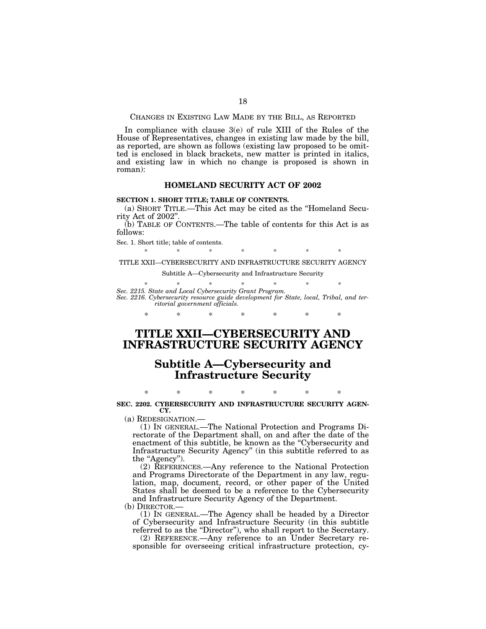CHANGES IN EXISTING LAW MADE BY THE BILL, AS REPORTED

In compliance with clause 3(e) of rule XIII of the Rules of the House of Representatives, changes in existing law made by the bill, as reported, are shown as follows (existing law proposed to be omitted is enclosed in black brackets, new matter is printed in italics, and existing law in which no change is proposed is shown in roman):

### **HOMELAND SECURITY ACT OF 2002**

## **SECTION 1. SHORT TITLE; TABLE OF CONTENTS.**

(a) SHORT TITLE.—This Act may be cited as the ''Homeland Security Act of 2002''.

(b) TABLE OF CONTENTS.—The table of contents for this Act is as follows:

Sec. 1. Short title; table of contents.

\* \* \* \* \* \* \* \* TITLE XXII—CYBERSECURITY AND INFRASTRUCTURE SECURITY AGENCY

Subtitle A—Cybersecurity and Infrastructure Security

\* \* \* \* \* \* \* \*

*Sec. 2215. State and Local Cybersecurity Grant Program. Sec. 2216. Cybersecurity resource guide development for State, local, Tribal, and territorial government officials.* 

\* \* \* \* \* \* \*

# **TITLE XXII—CYBERSECURITY AND INFRASTRUCTURE SECURITY AGENCY**

# **Subtitle A—Cybersecurity and Infrastructure Security**

\* \* \* \* \* \* \* **SEC. 2202. CYBERSECURITY AND INFRASTRUCTURE SECURITY AGEN-CY.** 

(a) REDESIGNATION.—

(1) IN GENERAL.—The National Protection and Programs Directorate of the Department shall, on and after the date of the enactment of this subtitle, be known as the "Cybersecurity and Infrastructure Security Agency'' (in this subtitle referred to as the ''Agency'').

(2) REFERENCES.—Any reference to the National Protection and Programs Directorate of the Department in any law, regulation, map, document, record, or other paper of the United States shall be deemed to be a reference to the Cybersecurity and Infrastructure Security Agency of the Department.

(b) DIRECTOR.—

(1) IN GENERAL.—The Agency shall be headed by a Director of Cybersecurity and Infrastructure Security (in this subtitle referred to as the "Director"), who shall report to the Secretary.

(2) REFERENCE.—Any reference to an Under Secretary responsible for overseeing critical infrastructure protection, cy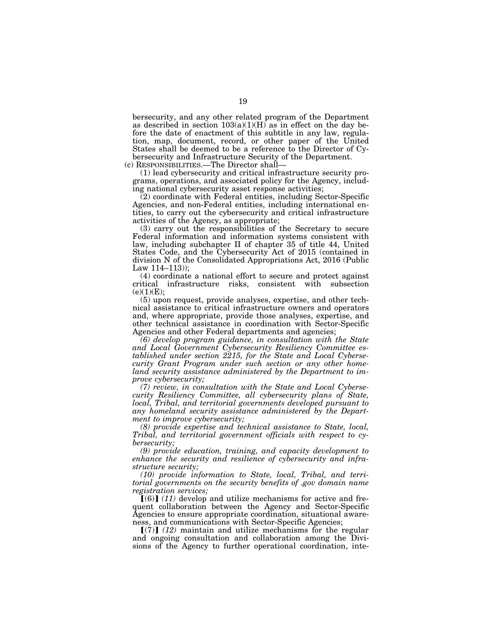bersecurity, and any other related program of the Department as described in section  $103(a)(1)(H)$  as in effect on the day before the date of enactment of this subtitle in any law, regulation, map, document, record, or other paper of the United States shall be deemed to be a reference to the Director of Cybersecurity and Infrastructure Security of the Department.

(c) RESPONSIBILITIES.—The Director shall—

(1) lead cybersecurity and critical infrastructure security programs, operations, and associated policy for the Agency, including national cybersecurity asset response activities;

(2) coordinate with Federal entities, including Sector-Specific Agencies, and non-Federal entities, including international entities, to carry out the cybersecurity and critical infrastructure activities of the Agency, as appropriate;

(3) carry out the responsibilities of the Secretary to secure Federal information and information systems consistent with law, including subchapter II of chapter 35 of title 44, United States Code, and the Cybersecurity Act of 2015 (contained in division N of the Consolidated Appropriations Act, 2016 (Public Law 114–113));

(4) coordinate a national effort to secure and protect against critical infrastructure risks, consistent with subsection  $(e)(1)(E);$ 

(5) upon request, provide analyses, expertise, and other technical assistance to critical infrastructure owners and operators and, where appropriate, provide those analyses, expertise, and other technical assistance in coordination with Sector-Specific Agencies and other Federal departments and agencies;

*(6) develop program guidance, in consultation with the State and Local Government Cybersecurity Resiliency Committee established under section 2215, for the State and Local Cybersecurity Grant Program under such section or any other homeland security assistance administered by the Department to improve cybersecurity;* 

*(7) review, in consultation with the State and Local Cybersecurity Resiliency Committee, all cybersecurity plans of State, local, Tribal, and territorial governments developed pursuant to any homeland security assistance administered by the Department to improve cybersecurity;* 

*(8) provide expertise and technical assistance to State, local, Tribal, and territorial government officials with respect to cybersecurity;* 

*(9) provide education, training, and capacity development to enhance the security and resilience of cybersecurity and infrastructure security;* 

*(10) provide information to State, local, Tribal, and territorial governments on the security benefits of .gov domain name registration services;* 

 $[(6)]$  (11) develop and utilize mechanisms for active and frequent collaboration between the Agency and Sector-Specific Agencies to ensure appropriate coordination, situational awareness, and communications with Sector-Specific Agencies;

 $\lceil (7) \rceil$  (12) maintain and utilize mechanisms for the regular and ongoing consultation and collaboration among the Divisions of the Agency to further operational coordination, inte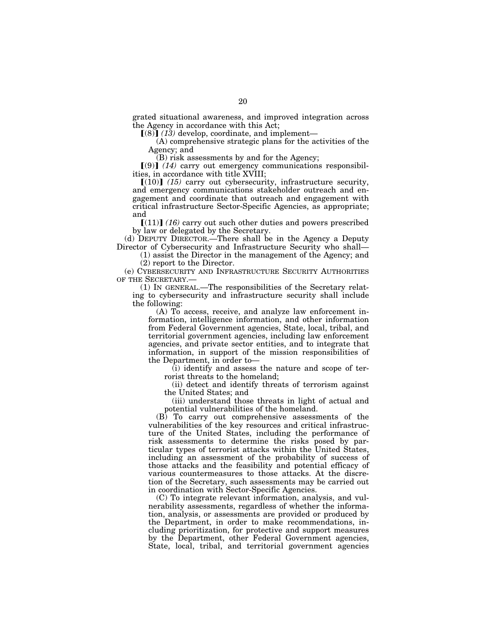grated situational awareness, and improved integration across the Agency in accordance with this Act;

 $(8)$  (13) develop, coordinate, and implement—

(A) comprehensive strategic plans for the activities of the Agency; and

(B) risk assessments by and for the Agency;

 $(9)$  (14) carry out emergency communications responsibilities, in accordance with title XVIII;

 $[(10)]$   $(15)$  carry out cybersecurity, infrastructure security, and emergency communications stakeholder outreach and engagement and coordinate that outreach and engagement with critical infrastructure Sector-Specific Agencies, as appropriate; and

 $[(11)]$   $(16)$  carry out such other duties and powers prescribed by law or delegated by the Secretary.

(d) DEPUTY DIRECTOR.—There shall be in the Agency a Deputy Director of Cybersecurity and Infrastructure Security who shall—

(1) assist the Director in the management of the Agency; and (2) report to the Director.

(e) CYBERSECURITY AND INFRASTRUCTURE SECURITY AUTHORITIES OF THE SECRETARY.—

(1) IN GENERAL.—The responsibilities of the Secretary relating to cybersecurity and infrastructure security shall include the following:

(A) To access, receive, and analyze law enforcement information, intelligence information, and other information from Federal Government agencies, State, local, tribal, and territorial government agencies, including law enforcement agencies, and private sector entities, and to integrate that information, in support of the mission responsibilities of the Department, in order to—

 $(i)$  identify and assess the nature and scope of terrorist threats to the homeland;

(ii) detect and identify threats of terrorism against the United States; and

(iii) understand those threats in light of actual and potential vulnerabilities of the homeland.

(B) To carry out comprehensive assessments of the vulnerabilities of the key resources and critical infrastructure of the United States, including the performance of risk assessments to determine the risks posed by particular types of terrorist attacks within the United States, including an assessment of the probability of success of those attacks and the feasibility and potential efficacy of various countermeasures to those attacks. At the discretion of the Secretary, such assessments may be carried out in coordination with Sector-Specific Agencies.

(C) To integrate relevant information, analysis, and vulnerability assessments, regardless of whether the information, analysis, or assessments are provided or produced by the Department, in order to make recommendations, including prioritization, for protective and support measures by the Department, other Federal Government agencies, State, local, tribal, and territorial government agencies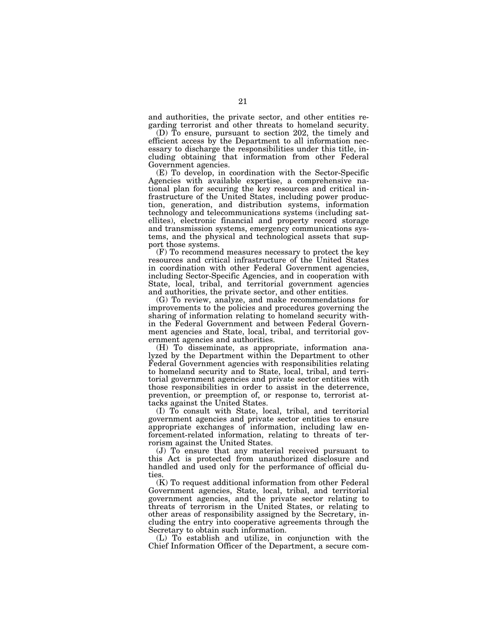and authorities, the private sector, and other entities regarding terrorist and other threats to homeland security.

(D) To ensure, pursuant to section 202, the timely and efficient access by the Department to all information necessary to discharge the responsibilities under this title, including obtaining that information from other Federal Government agencies.

(E) To develop, in coordination with the Sector-Specific Agencies with available expertise, a comprehensive national plan for securing the key resources and critical infrastructure of the United States, including power production, generation, and distribution systems, information technology and telecommunications systems (including satellites), electronic financial and property record storage and transmission systems, emergency communications systems, and the physical and technological assets that support those systems.

(F) To recommend measures necessary to protect the key resources and critical infrastructure of the United States in coordination with other Federal Government agencies, including Sector-Specific Agencies, and in cooperation with State, local, tribal, and territorial government agencies and authorities, the private sector, and other entities.

(G) To review, analyze, and make recommendations for improvements to the policies and procedures governing the sharing of information relating to homeland security within the Federal Government and between Federal Government agencies and State, local, tribal, and territorial government agencies and authorities.

(H) To disseminate, as appropriate, information analyzed by the Department within the Department to other Federal Government agencies with responsibilities relating to homeland security and to State, local, tribal, and territorial government agencies and private sector entities with those responsibilities in order to assist in the deterrence, prevention, or preemption of, or response to, terrorist attacks against the United States.

(I) To consult with State, local, tribal, and territorial government agencies and private sector entities to ensure appropriate exchanges of information, including law enforcement-related information, relating to threats of terrorism against the United States.

(J) To ensure that any material received pursuant to this Act is protected from unauthorized disclosure and handled and used only for the performance of official duties.

(K) To request additional information from other Federal Government agencies, State, local, tribal, and territorial government agencies, and the private sector relating to threats of terrorism in the United States, or relating to other areas of responsibility assigned by the Secretary, including the entry into cooperative agreements through the Secretary to obtain such information.

(L) To establish and utilize, in conjunction with the Chief Information Officer of the Department, a secure com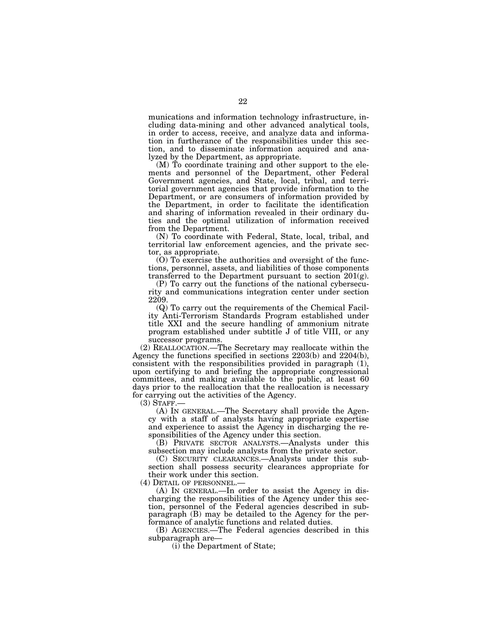munications and information technology infrastructure, including data-mining and other advanced analytical tools, in order to access, receive, and analyze data and information in furtherance of the responsibilities under this section, and to disseminate information acquired and analyzed by the Department, as appropriate.

(M) To coordinate training and other support to the elements and personnel of the Department, other Federal Government agencies, and State, local, tribal, and territorial government agencies that provide information to the Department, or are consumers of information provided by the Department, in order to facilitate the identification and sharing of information revealed in their ordinary duties and the optimal utilization of information received from the Department.

(N) To coordinate with Federal, State, local, tribal, and territorial law enforcement agencies, and the private sector, as appropriate.

(O) To exercise the authorities and oversight of the functions, personnel, assets, and liabilities of those components transferred to the Department pursuant to section  $201(g)$ .

(P) To carry out the functions of the national cybersecurity and communications integration center under section 2209.

(Q) To carry out the requirements of the Chemical Facility Anti-Terrorism Standards Program established under title XXI and the secure handling of ammonium nitrate program established under subtitle J of title VIII, or any successor programs.

(2) REALLOCATION.—The Secretary may reallocate within the Agency the functions specified in sections 2203(b) and 2204(b), consistent with the responsibilities provided in paragraph (1), upon certifying to and briefing the appropriate congressional committees, and making available to the public, at least 60 days prior to the reallocation that the reallocation is necessary for carrying out the activities of the Agency.<br>(3) STAFF.—

 $(A)$  In GENERAL.—The Secretary shall provide the Agency with a staff of analysts having appropriate expertise and experience to assist the Agency in discharging the responsibilities of the Agency under this section.

(B) PRIVATE SECTOR ANALYSTS.—Analysts under this subsection may include analysts from the private sector.

(C) SECURITY CLEARANCES.—Analysts under this subsection shall possess security clearances appropriate for their work under this section.

(4) DETAIL OF PERSONNEL.—

(A) IN GENERAL.—In order to assist the Agency in discharging the responsibilities of the Agency under this section, personnel of the Federal agencies described in subparagraph (B) may be detailed to the Agency for the performance of analytic functions and related duties.

(B) AGENCIES.—The Federal agencies described in this subparagraph are—

(i) the Department of State;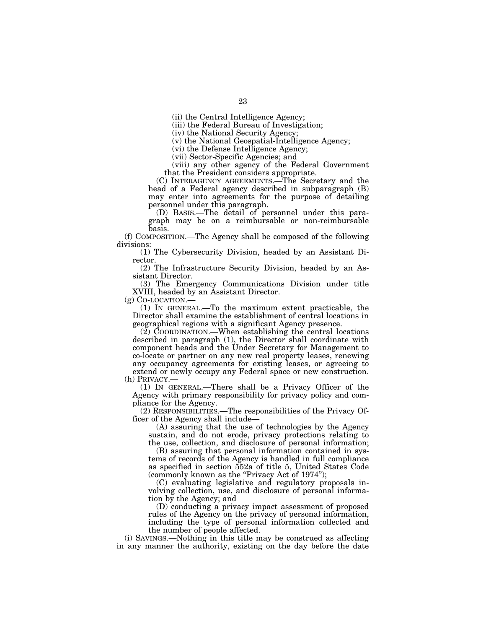(ii) the Central Intelligence Agency;

(iii) the Federal Bureau of Investigation;

(iv) the National Security Agency;

(v) the National Geospatial-Intelligence Agency;

(vi) the Defense Intelligence Agency;

(vii) Sector-Specific Agencies; and

(viii) any other agency of the Federal Government that the President considers appropriate.

(C) INTERAGENCY AGREEMENTS.—The Secretary and the head of a Federal agency described in subparagraph (B) may enter into agreements for the purpose of detailing personnel under this paragraph.

(D) BASIS.—The detail of personnel under this paragraph may be on a reimbursable or non-reimbursable basis.

(f) COMPOSITION.—The Agency shall be composed of the following divisions:

(1) The Cybersecurity Division, headed by an Assistant Director.

(2) The Infrastructure Security Division, headed by an Assistant Director.

(3) The Emergency Communications Division under title XVIII, headed by an Assistant Director.<br>(g)  $Co$ -LOCATION.—

 $(1)$  In GENERAL.—To the maximum extent practicable, the Director shall examine the establishment of central locations in geographical regions with a significant Agency presence.

 $(2)$  COORDINATION.—When establishing the central locations described in paragraph (1), the Director shall coordinate with component heads and the Under Secretary for Management to co-locate or partner on any new real property leases, renewing any occupancy agreements for existing leases, or agreeing to extend or newly occupy any Federal space or new construction. (h) PRIVACY.—

(1) IN GENERAL.—There shall be a Privacy Officer of the Agency with primary responsibility for privacy policy and compliance for the Agency.

(2) RESPONSIBILITIES.—The responsibilities of the Privacy Officer of the Agency shall include—

(A) assuring that the use of technologies by the Agency sustain, and do not erode, privacy protections relating to the use, collection, and disclosure of personal information;

(B) assuring that personal information contained in systems of records of the Agency is handled in full compliance as specified in section 552a of title 5, United States Code (commonly known as the "Privacy Act of 1974");

(C) evaluating legislative and regulatory proposals involving collection, use, and disclosure of personal information by the Agency; and

(D) conducting a privacy impact assessment of proposed rules of the Agency on the privacy of personal information, including the type of personal information collected and the number of people affected.

(i) SAVINGS.—Nothing in this title may be construed as affecting in any manner the authority, existing on the day before the date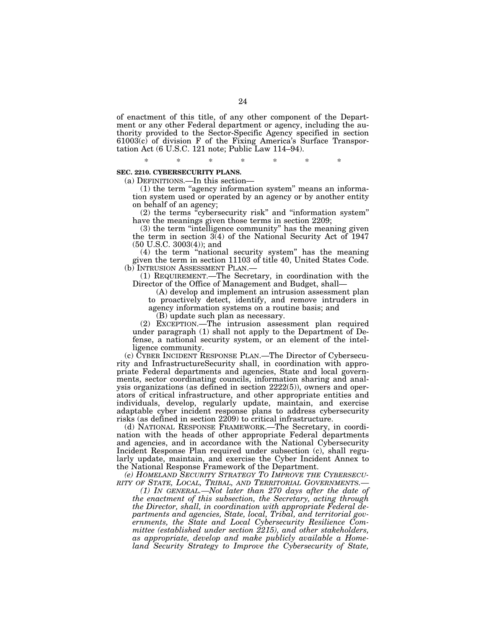of enactment of this title, of any other component of the Department or any other Federal department or agency, including the authority provided to the Sector-Specific Agency specified in section  $61003(c)$  of division F of the Fixing America's Surface Transportation Act (6 U.S.C. 121 note; Public Law 114–94).

\* \* \* \* \* \* \*

#### **SEC. 2210. CYBERSECURITY PLANS.**

(a) DEFINITIONS.—In this section—

(1) the term ''agency information system'' means an information system used or operated by an agency or by another entity on behalf of an agency;

(2) the terms ''cybersecurity risk'' and ''information system'' have the meanings given those terms in section 2209;

(3) the term ''intelligence community'' has the meaning given the term in section 3(4) of the National Security Act of 1947 (50 U.S.C. 3003(4)); and

(4) the term "national security system" has the meaning given the term in section 11103 of title 40, United States Code.<br>(b) INTRUSION ASSESSMENT PLAN.—

 $(1)$  REQUIREMENT.—The Secretary, in coordination with the Director of the Office of Management and Budget, shall—

(A) develop and implement an intrusion assessment plan to proactively detect, identify, and remove intruders in agency information systems on a routine basis; and

(B) update such plan as necessary.

(2) EXCEPTION.—The intrusion assessment plan required under paragraph (1) shall not apply to the Department of Defense, a national security system, or an element of the intelligence community.

(c) CYBER INCIDENT RESPONSE PLAN.—The Director of Cybersecurity and InfrastructureSecurity shall, in coordination with appropriate Federal departments and agencies, State and local governments, sector coordinating councils, information sharing and analysis organizations (as defined in section 2222(5)), owners and operators of critical infrastructure, and other appropriate entities and individuals, develop, regularly update, maintain, and exercise adaptable cyber incident response plans to address cybersecurity risks (as defined in section 2209) to critical infrastructure.

(d) NATIONAL RESPONSE FRAMEWORK.—The Secretary, in coordination with the heads of other appropriate Federal departments and agencies, and in accordance with the National Cybersecurity Incident Response Plan required under subsection (c), shall regularly update, maintain, and exercise the Cyber Incident Annex to the National Response Framework of the Department.

*(e) HOMELAND SECURITY STRATEGY TO IMPROVE THE CYBERSECU-RITY OF STATE, LOCAL, TRIBAL, AND TERRITORIAL GOVERNMENTS.—* 

*(1) IN GENERAL.—Not later than 270 days after the date of the enactment of this subsection, the Secretary, acting through the Director, shall, in coordination with appropriate Federal departments and agencies, State, local, Tribal, and territorial governments, the State and Local Cybersecurity Resilience Committee (established under section 2215), and other stakeholders, as appropriate, develop and make publicly available a Homeland Security Strategy to Improve the Cybersecurity of State,*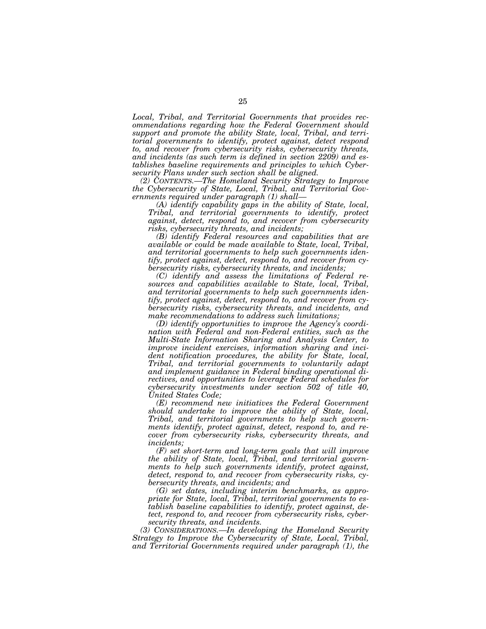*Local, Tribal, and Territorial Governments that provides recommendations regarding how the Federal Government should support and promote the ability State, local, Tribal, and territorial governments to identify, protect against, detect respond to, and recover from cybersecurity risks, cybersecurity threats, and incidents (as such term is defined in section 2209) and establishes baseline requirements and principles to which Cybersecurity Plans under such section shall be aligned.* 

*(2) CONTENTS.—The Homeland Security Strategy to Improve the Cybersecurity of State, Local, Tribal, and Territorial Governments required under paragraph (1) shall—* 

*(A) identify capability gaps in the ability of State, local, Tribal, and territorial governments to identify, protect against, detect, respond to, and recover from cybersecurity risks, cybersecurity threats, and incidents;* 

*(B) identify Federal resources and capabilities that are available or could be made available to State, local, Tribal, and territorial governments to help such governments identify, protect against, detect, respond to, and recover from cybersecurity risks, cybersecurity threats, and incidents;* 

*(C) identify and assess the limitations of Federal resources and capabilities available to State, local, Tribal, and territorial governments to help such governments identify, protect against, detect, respond to, and recover from cybersecurity risks, cybersecurity threats, and incidents, and make recommendations to address such limitations;* 

*(D) identify opportunities to improve the Agency's coordination with Federal and non-Federal entities, such as the Multi-State Information Sharing and Analysis Center, to improve incident exercises, information sharing and incident notification procedures, the ability for State, local, Tribal, and territorial governments to voluntarily adapt and implement guidance in Federal binding operational directives, and opportunities to leverage Federal schedules for cybersecurity investments under section 502 of title 40, United States Code;* 

*(E) recommend new initiatives the Federal Government should undertake to improve the ability of State, local, Tribal, and territorial governments to help such governments identify, protect against, detect, respond to, and recover from cybersecurity risks, cybersecurity threats, and incidents;* 

*(F) set short-term and long-term goals that will improve the ability of State, local, Tribal, and territorial governments to help such governments identify, protect against, detect, respond to, and recover from cybersecurity risks, cybersecurity threats, and incidents; and* 

*(G) set dates, including interim benchmarks, as appropriate for State, local, Tribal, territorial governments to establish baseline capabilities to identify, protect against, detect, respond to, and recover from cybersecurity risks, cybersecurity threats, and incidents.* 

*(3) CONSIDERATIONS.—In developing the Homeland Security Strategy to Improve the Cybersecurity of State, Local, Tribal, and Territorial Governments required under paragraph (1), the*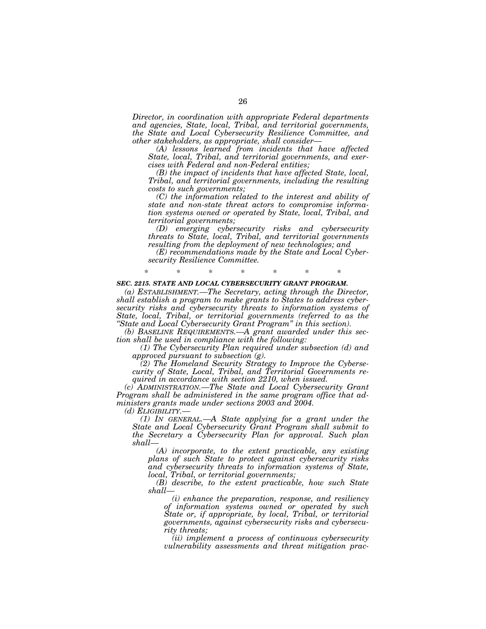*Director, in coordination with appropriate Federal departments and agencies, State, local, Tribal, and territorial governments, the State and Local Cybersecurity Resilience Committee, and other stakeholders, as appropriate, shall consider—* 

*(A) lessons learned from incidents that have affected State, local, Tribal, and territorial governments, and exercises with Federal and non-Federal entities;* 

*(B) the impact of incidents that have affected State, local, Tribal, and territorial governments, including the resulting costs to such governments;* 

*(C) the information related to the interest and ability of state and non-state threat actors to compromise information systems owned or operated by State, local, Tribal, and territorial governments;* 

*(D) emerging cybersecurity risks and cybersecurity threats to State, local, Tribal, and territorial governments resulting from the deployment of new technologies; and* 

*(E) recommendations made by the State and Local Cybersecurity Resilience Committee.* 

## \* \* \* \* \* \* \*

## *SEC. 2215. STATE AND LOCAL CYBERSECURITY GRANT PROGRAM.*

*(a) ESTABLISHMENT.—The Secretary, acting through the Director, shall establish a program to make grants to States to address cybersecurity risks and cybersecurity threats to information systems of State, local, Tribal, or territorial governments (referred to as the ''State and Local Cybersecurity Grant Program'' in this section).* 

*(b) BASELINE REQUIREMENTS.—A grant awarded under this section shall be used in compliance with the following:* 

*(1) The Cybersecurity Plan required under subsection (d) and approved pursuant to subsection (g).* 

*(2) The Homeland Security Strategy to Improve the Cybersecurity of State, Local, Tribal, and Territorial Governments required in accordance with section 2210, when issued.* 

*(c) ADMINISTRATION.—The State and Local Cybersecurity Grant Program shall be administered in the same program office that administers grants made under sections 2003 and 2004.* 

*(d) ELIGIBILITY.— (1) IN GENERAL.—A State applying for a grant under the State and Local Cybersecurity Grant Program shall submit to the Secretary a Cybersecurity Plan for approval. Such plan shall—* 

*(A) incorporate, to the extent practicable, any existing plans of such State to protect against cybersecurity risks and cybersecurity threats to information systems of State, local, Tribal, or territorial governments;* 

*(B) describe, to the extent practicable, how such State shall—* 

*(i) enhance the preparation, response, and resiliency of information systems owned or operated by such State or, if appropriate, by local, Tribal, or territorial governments, against cybersecurity risks and cybersecurity threats;* 

*(ii) implement a process of continuous cybersecurity vulnerability assessments and threat mitigation prac-*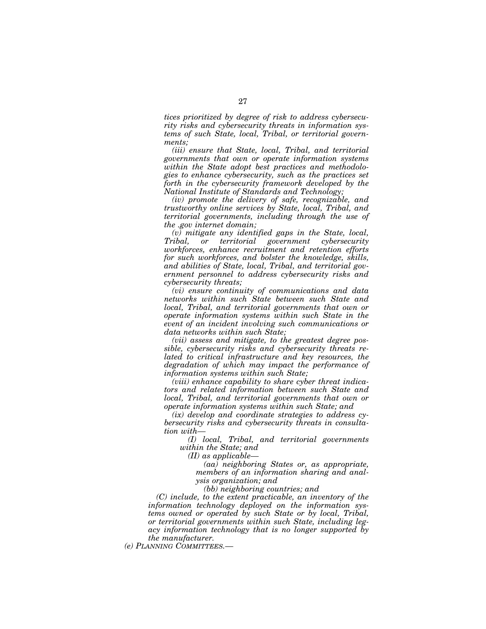*tices prioritized by degree of risk to address cybersecurity risks and cybersecurity threats in information systems of such State, local, Tribal, or territorial governments;* 

*(iii) ensure that State, local, Tribal, and territorial governments that own or operate information systems within the State adopt best practices and methodologies to enhance cybersecurity, such as the practices set forth in the cybersecurity framework developed by the National Institute of Standards and Technology;* 

*(iv) promote the delivery of safe, recognizable, and trustworthy online services by State, local, Tribal, and territorial governments, including through the use of the .gov internet domain;* 

*(v) mitigate any identified gaps in the State, local, Tribal, or territorial government cybersecurity workforces, enhance recruitment and retention efforts for such workforces, and bolster the knowledge, skills, and abilities of State, local, Tribal, and territorial government personnel to address cybersecurity risks and cybersecurity threats;* 

*(vi) ensure continuity of communications and data networks within such State between such State and local, Tribal, and territorial governments that own or operate information systems within such State in the event of an incident involving such communications or data networks within such State;* 

*(vii) assess and mitigate, to the greatest degree possible, cybersecurity risks and cybersecurity threats related to critical infrastructure and key resources, the degradation of which may impact the performance of information systems within such State;* 

*(viii) enhance capability to share cyber threat indicators and related information between such State and local, Tribal, and territorial governments that own or operate information systems within such State; and* 

*(ix) develop and coordinate strategies to address cybersecurity risks and cybersecurity threats in consultation with—* 

*(I) local, Tribal, and territorial governments within the State; and* 

*(II) as applicable—* 

*(aa) neighboring States or, as appropriate, members of an information sharing and analysis organization; and* 

*(bb) neighboring countries; and* 

*(C) include, to the extent practicable, an inventory of the information technology deployed on the information systems owned or operated by such State or by local, Tribal, or territorial governments within such State, including legacy information technology that is no longer supported by the manufacturer.* 

*(e) PLANNING COMMITTEES.—*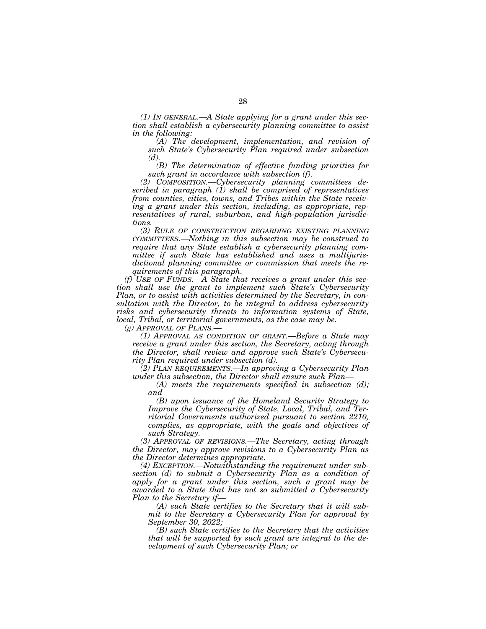*(1) IN GENERAL.—A State applying for a grant under this section shall establish a cybersecurity planning committee to assist in the following:* 

*(A) The development, implementation, and revision of such State's Cybersecurity Plan required under subsection (d).* 

*(B) The determination of effective funding priorities for such grant in accordance with subsection (f).* 

*(2) COMPOSITION.—Cybersecurity planning committees described in paragraph (1) shall be comprised of representatives from counties, cities, towns, and Tribes within the State receiving a grant under this section, including, as appropriate, representatives of rural, suburban, and high-population jurisdictions.* 

*(3) RULE OF CONSTRUCTION REGARDING EXISTING PLANNING COMMITTEES.—Nothing in this subsection may be construed to require that any State establish a cybersecurity planning committee if such State has established and uses a multijurisdictional planning committee or commission that meets the requirements of this paragraph.* 

*(f) USE OF FUNDS.—A State that receives a grant under this section shall use the grant to implement such State's Cybersecurity Plan, or to assist with activities determined by the Secretary, in consultation with the Director, to be integral to address cybersecurity risks and cybersecurity threats to information systems of State, local, Tribal, or territorial governments, as the case may be.* 

*(g) APPROVAL OF PLANS.—* 

*(1) APPROVAL AS CONDITION OF GRANT.—Before a State may receive a grant under this section, the Secretary, acting through the Director, shall review and approve such State's Cybersecurity Plan required under subsection (d).* 

*(2) PLAN REQUIREMENTS.—In approving a Cybersecurity Plan under this subsection, the Director shall ensure such Plan—* 

*(A) meets the requirements specified in subsection (d); and* 

*(B) upon issuance of the Homeland Security Strategy to Improve the Cybersecurity of State, Local, Tribal, and Territorial Governments authorized pursuant to section 2210, complies, as appropriate, with the goals and objectives of such Strategy.* 

*(3) APPROVAL OF REVISIONS.—The Secretary, acting through the Director, may approve revisions to a Cybersecurity Plan as the Director determines appropriate.* 

*(4) EXCEPTION.—Notwithstanding the requirement under subsection (d) to submit a Cybersecurity Plan as a condition of apply for a grant under this section, such a grant may be awarded to a State that has not so submitted a Cybersecurity Plan to the Secretary if—* 

*(A) such State certifies to the Secretary that it will submit to the Secretary a Cybersecurity Plan for approval by September 30, 2022;* 

*(B) such State certifies to the Secretary that the activities that will be supported by such grant are integral to the development of such Cybersecurity Plan; or*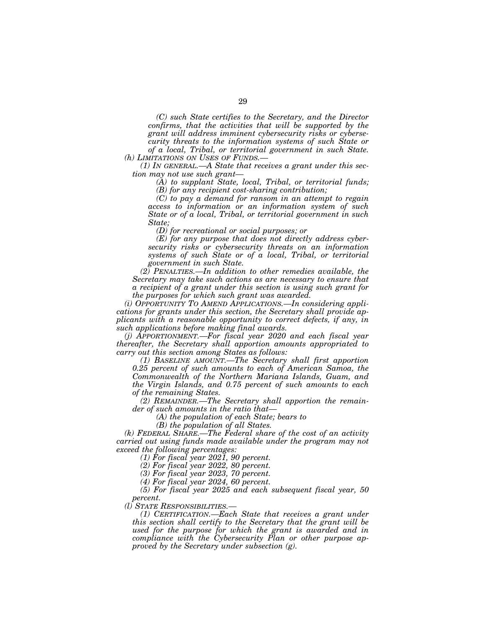*(C) such State certifies to the Secretary, and the Director confirms, that the activities that will be supported by the grant will address imminent cybersecurity risks or cybersecurity threats to the information systems of such State or* 

*of a local, Tribal, or territorial government in such State. (h) LIMITATIONS ON USES OF FUNDS.—* 

*(1) IN GENERAL.—A State that receives a grant under this section may not use such grant—* 

*(A) to supplant State, local, Tribal, or territorial funds;* 

*(B) for any recipient cost-sharing contribution;* 

*(C) to pay a demand for ransom in an attempt to regain access to information or an information system of such State or of a local, Tribal, or territorial government in such State;* 

*(D) for recreational or social purposes; or* 

*(E) for any purpose that does not directly address cybersecurity risks or cybersecurity threats on an information systems of such State or of a local, Tribal, or territorial government in such State.* 

*(2) PENALTIES.—In addition to other remedies available, the Secretary may take such actions as are necessary to ensure that a recipient of a grant under this section is using such grant for the purposes for which such grant was awarded.* 

*(i) OPPORTUNITY TO AMEND APPLICATIONS.—In considering applications for grants under this section, the Secretary shall provide applicants with a reasonable opportunity to correct defects, if any, in such applications before making final awards.* 

*(j) APPORTIONMENT.—For fiscal year 2020 and each fiscal year thereafter, the Secretary shall apportion amounts appropriated to carry out this section among States as follows:* 

*(1) BASELINE AMOUNT.—The Secretary shall first apportion 0.25 percent of such amounts to each of American Samoa, the Commonwealth of the Northern Mariana Islands, Guam, and the Virgin Islands, and 0.75 percent of such amounts to each of the remaining States.* 

*(2) REMAINDER.—The Secretary shall apportion the remainder of such amounts in the ratio that—* 

*(A) the population of each State; bears to* 

*(B) the population of all States.* 

*(k) FEDERAL SHARE.—The Federal share of the cost of an activity carried out using funds made available under the program may not exceed the following percentages:* 

*(1) For fiscal year 2021, 90 percent.* 

*(2) For fiscal year 2022, 80 percent.* 

*(3) For fiscal year 2023, 70 percent.* 

*(4) For fiscal year 2024, 60 percent.* 

*(5) For fiscal year 2025 and each subsequent fiscal year, 50 percent.* 

*(l) STATE RESPONSIBILITIES.—* 

*(1) CERTIFICATION.—Each State that receives a grant under this section shall certify to the Secretary that the grant will be used for the purpose for which the grant is awarded and in compliance with the Cybersecurity Plan or other purpose approved by the Secretary under subsection (g).*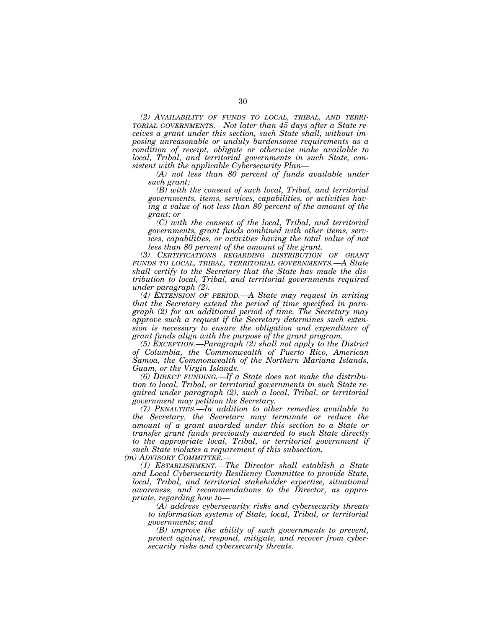*(2) AVAILABILITY OF FUNDS TO LOCAL, TRIBAL, AND TERRI-TORIAL GOVERNMENTS.—Not later than 45 days after a State receives a grant under this section, such State shall, without imposing unreasonable or unduly burdensome requirements as a condition of receipt, obligate or otherwise make available to local, Tribal, and territorial governments in such State, consistent with the applicable Cybersecurity Plan—* 

*(A) not less than 80 percent of funds available under such grant;* 

*(B) with the consent of such local, Tribal, and territorial governments, items, services, capabilities, or activities having a value of not less than 80 percent of the amount of the grant; or* 

*(C) with the consent of the local, Tribal, and territorial governments, grant funds combined with other items, services, capabilities, or activities having the total value of not less than 80 percent of the amount of the grant.* 

*(3) CERTIFICATIONS REGARDING DISTRIBUTION OF GRANT FUNDS TO LOCAL, TRIBAL, TERRITORIAL GOVERNMENTS.—A State shall certify to the Secretary that the State has made the distribution to local, Tribal, and territorial governments required under paragraph (2).* 

*(4) EXTENSION OF PERIOD.—A State may request in writing that the Secretary extend the period of time specified in paragraph (2) for an additional period of time. The Secretary may approve such a request if the Secretary determines such extension is necessary to ensure the obligation and expenditure of grant funds align with the purpose of the grant program.* 

*(5) EXCEPTION.—Paragraph (2) shall not apply to the District of Columbia, the Commonwealth of Puerto Rico, American Samoa, the Commonwealth of the Northern Mariana Islands, Guam, or the Virgin Islands.* 

*(6) DIRECT FUNDING.—If a State does not make the distribution to local, Tribal, or territorial governments in such State required under paragraph (2), such a local, Tribal, or territorial government may petition the Secretary.* 

*(7) PENALTIES.—In addition to other remedies available to the Secretary, the Secretary may terminate or reduce the amount of a grant awarded under this section to a State or transfer grant funds previously awarded to such State directly to the appropriate local, Tribal, or territorial government if such State violates a requirement of this subsection.* 

*(m) ADVISORY COMMITTEE.—* 

*(1) ESTABLISHMENT.—The Director shall establish a State and Local Cybersecurity Resiliency Committee to provide State, local, Tribal, and territorial stakeholder expertise, situational awareness, and recommendations to the Director, as appropriate, regarding how to—* 

*(A) address cybersecurity risks and cybersecurity threats to information systems of State, local, Tribal, or territorial governments; and* 

*(B) improve the ability of such governments to prevent, protect against, respond, mitigate, and recover from cybersecurity risks and cybersecurity threats.*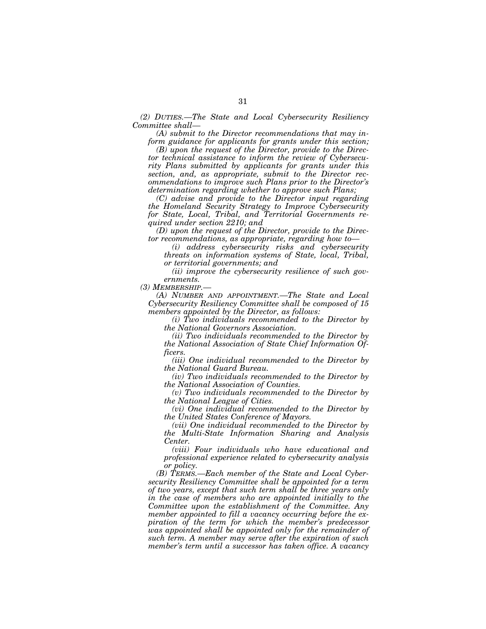*(2) DUTIES.—The State and Local Cybersecurity Resiliency Committee shall—* 

*(A) submit to the Director recommendations that may inform guidance for applicants for grants under this section;* 

*(B) upon the request of the Director, provide to the Director technical assistance to inform the review of Cybersecurity Plans submitted by applicants for grants under this section, and, as appropriate, submit to the Director recommendations to improve such Plans prior to the Director's determination regarding whether to approve such Plans;* 

*(C) advise and provide to the Director input regarding the Homeland Security Strategy to Improve Cybersecurity for State, Local, Tribal, and Territorial Governments required under section 2210; and* 

*(D) upon the request of the Director, provide to the Director recommendations, as appropriate, regarding how to—* 

*(i) address cybersecurity risks and cybersecurity threats on information systems of State, local, Tribal, or territorial governments; and* 

*(ii) improve the cybersecurity resilience of such governments.* 

*(3) MEMBERSHIP.—* 

*(A) NUMBER AND APPOINTMENT.—The State and Local Cybersecurity Resiliency Committee shall be composed of 15 members appointed by the Director, as follows:* 

*(i) Two individuals recommended to the Director by the National Governors Association.* 

*(ii) Two individuals recommended to the Director by the National Association of State Chief Information Officers.* 

*(iii) One individual recommended to the Director by the National Guard Bureau.* 

*(iv) Two individuals recommended to the Director by the National Association of Counties.* 

*(v) Two individuals recommended to the Director by the National League of Cities.* 

*(vi) One individual recommended to the Director by the United States Conference of Mayors.* 

*(vii) One individual recommended to the Director by the Multi-State Information Sharing and Analysis Center.* 

*(viii) Four individuals who have educational and professional experience related to cybersecurity analysis or policy.* 

*(B) TERMS.—Each member of the State and Local Cybersecurity Resiliency Committee shall be appointed for a term of two years, except that such term shall be three years only in the case of members who are appointed initially to the Committee upon the establishment of the Committee. Any member appointed to fill a vacancy occurring before the expiration of the term for which the member's predecessor was appointed shall be appointed only for the remainder of such term. A member may serve after the expiration of such member's term until a successor has taken office. A vacancy*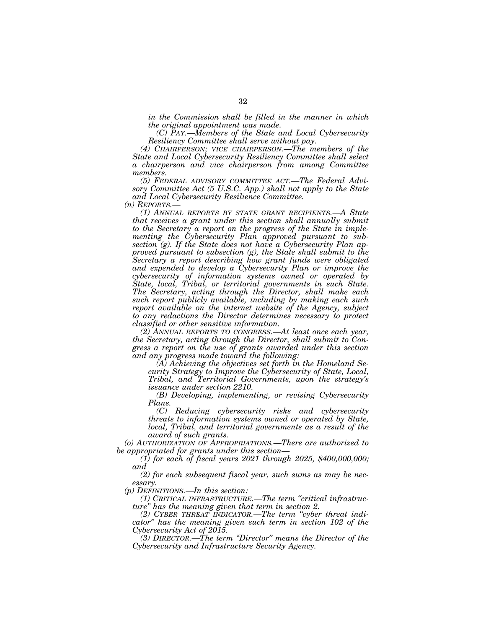*in the Commission shall be filled in the manner in which the original appointment was made.* 

*(C) PAY.—Members of the State and Local Cybersecurity Resiliency Committee shall serve without pay.* 

*(4) CHAIRPERSON; VICE CHAIRPERSON.—The members of the State and Local Cybersecurity Resiliency Committee shall select a chairperson and vice chairperson from among Committee members.* 

*(5) FEDERAL ADVISORY COMMITTEE ACT.—The Federal Advisory Committee Act (5 U.S.C. App.) shall not apply to the State and Local Cybersecurity Resilience Committee.* 

*(n) REPORTS.—* 

*(1) ANNUAL REPORTS BY STATE GRANT RECIPIENTS.—A State that receives a grant under this section shall annually submit to the Secretary a report on the progress of the State in implementing the Cybersecurity Plan approved pursuant to subsection (g). If the State does not have a Cybersecurity Plan approved pursuant to subsection (g), the State shall submit to the Secretary a report describing how grant funds were obligated and expended to develop a Cybersecurity Plan or improve the cybersecurity of information systems owned or operated by State, local, Tribal, or territorial governments in such State. The Secretary, acting through the Director, shall make each such report publicly available, including by making each such report available on the internet website of the Agency, subject to any redactions the Director determines necessary to protect classified or other sensitive information.* 

*(2) ANNUAL REPORTS TO CONGRESS.—At least once each year, the Secretary, acting through the Director, shall submit to Congress a report on the use of grants awarded under this section and any progress made toward the following:* 

*(A) Achieving the objectives set forth in the Homeland Security Strategy to Improve the Cybersecurity of State, Local, Tribal, and Territorial Governments, upon the strategy's issuance under section 2210.* 

*(B) Developing, implementing, or revising Cybersecurity Plans.* 

*(C) Reducing cybersecurity risks and cybersecurity threats to information systems owned or operated by State, local, Tribal, and territorial governments as a result of the award of such grants.* 

*(o) AUTHORIZATION OF APPROPRIATIONS.—There are authorized to be appropriated for grants under this section—* 

*(1) for each of fiscal years 2021 through 2025, \$400,000,000; and* 

*(2) for each subsequent fiscal year, such sums as may be necessary.* 

*(p) DEFINITIONS.—In this section:* 

*(1) CRITICAL INFRASTRUCTURE.—The term ''critical infrastructure'' has the meaning given that term in section 2.* 

*(2) CYBER THREAT INDICATOR.—The term ''cyber threat indicator'' has the meaning given such term in section 102 of the Cybersecurity Act of 2015.* 

*(3) DIRECTOR.—The term ''Director'' means the Director of the Cybersecurity and Infrastructure Security Agency.*